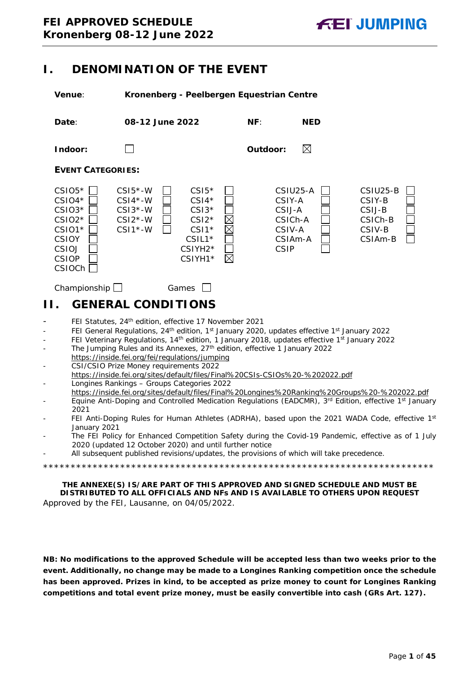# <span id="page-0-0"></span>**I. DENOMINATION OF THE EVENT**

**Venue**: **Kronenberg - Peelbergen Equestrian Centre**



# <span id="page-0-1"></span>**II. GENERAL CONDITIONS**

- FEI Statutes, 24<sup>th</sup> edition, effective 17 November 2021
- FEI General Regulations, 24<sup>th</sup> edition, 1<sup>st</sup> January 2020, updates effective 1<sup>st</sup> January 2022
- FEI Veterinary Regulations, 14<sup>th</sup> edition, 1 January 2018, updates effective 1<sup>st</sup> January 2022
- The Jumping Rules and its Annexes, 27<sup>th</sup> edition, effective 1 January 2022 https://inside.fei.org/fei/regulations/jumping
- CSI/CSIO Prize Money requirements 2022 https://inside.fei.org/sites/default/files/Final%20CSIs-CSIOs%20-%202022.pdf - Longines Rankings – Groups Categories 2022
- https://inside.fei.org/sites/default/files/Final%20Longines%20Ranking%20Groups%20-%202022.pdf
- Equine Anti-Doping and Controlled Medication Regulations (EADCMR), 3<sup>rd</sup> Edition, effective 1<sup>st</sup> January 2021
- FEI Anti-Doping Rules for Human Athletes (ADRHA), based upon the 2021 WADA Code, effective 1st January 2021
- The FEI Policy for Enhanced Competition Safety during the Covid-19 Pandemic, effective as of 1 July 2020 (updated 12 October 2020) and until further notice
- All subsequent published revisions/updates, the provisions of which will take precedence.

\*\*\*\*\*\*\*\*\*\*\*\*\*\*\*\*\*\*\*\*\*\*\*\*\*\*\*\*\*\*\*\*\*\*\*\*\*\*\*\*\*\*\*\*\*\*\*\*\*\*\*\*\*\*\*\*\*\*\*\*\*\*\*\*\*\*\*\*\*\*\*

**THE ANNEXE(S) IS/ARE PART OF THIS APPROVED AND SIGNED SCHEDULE AND MUST BE DISTRIBUTED TO ALL OFFICIALS AND NFs AND IS AVAILABLE TO OTHERS UPON REQUEST** Approved by the FEI, Lausanne, on 04/05/2022.

**NB: No modifications to the approved Schedule will be accepted less than two weeks prior to the event. Additionally, no change may be made to a Longines Ranking competition once the schedule has been approved. Prizes in kind, to be accepted as prize money to count for Longines Ranking competitions and total event prize money, must be easily convertible into cash (GRs Art. 127).**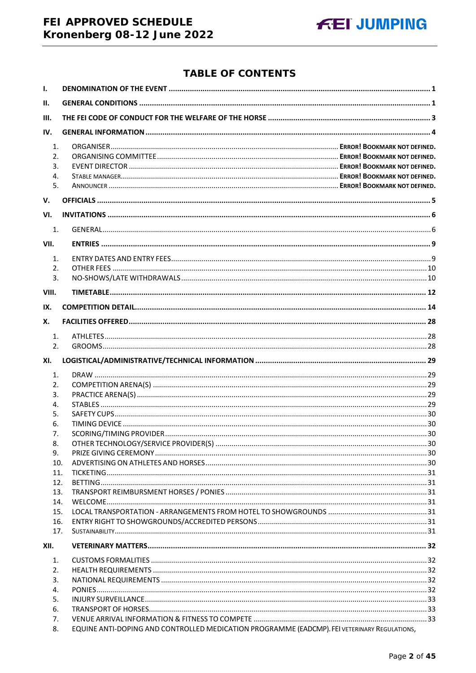# FEI APPROVED SCHEDULE Kronenberg 08-12 June 2022

# **TABLE OF CONTENTS**

| $\mathbf{I}$ .                         |                                                                                              |  |
|----------------------------------------|----------------------------------------------------------------------------------------------|--|
| II.                                    |                                                                                              |  |
| III.                                   |                                                                                              |  |
| IV.                                    |                                                                                              |  |
| $\mathbf{1}$ .<br>2.<br>3.<br>4.<br>5. |                                                                                              |  |
| V.                                     |                                                                                              |  |
|                                        |                                                                                              |  |
| VI.                                    |                                                                                              |  |
| 1.                                     |                                                                                              |  |
| VII.                                   |                                                                                              |  |
| 1.<br>2.<br>3.                         |                                                                                              |  |
| VIII.                                  |                                                                                              |  |
| IX.                                    |                                                                                              |  |
| Х.                                     |                                                                                              |  |
| 1.                                     |                                                                                              |  |
| 2.                                     |                                                                                              |  |
| XI.                                    |                                                                                              |  |
| 1.                                     |                                                                                              |  |
| 2.                                     |                                                                                              |  |
| 3.                                     |                                                                                              |  |
| 4.                                     |                                                                                              |  |
| 5.                                     |                                                                                              |  |
| 6.                                     |                                                                                              |  |
| 7.                                     |                                                                                              |  |
| 8.<br>9.                               |                                                                                              |  |
| 10.                                    |                                                                                              |  |
| 11.                                    |                                                                                              |  |
| 12.                                    |                                                                                              |  |
| 13.                                    |                                                                                              |  |
| 14.                                    |                                                                                              |  |
| 15.                                    |                                                                                              |  |
| 16.                                    |                                                                                              |  |
| 17.                                    |                                                                                              |  |
| XII.                                   |                                                                                              |  |
| 1.                                     |                                                                                              |  |
| 2.                                     |                                                                                              |  |
| 3.                                     |                                                                                              |  |
| 4.                                     |                                                                                              |  |
| 5.<br>6.                               |                                                                                              |  |
| 7.                                     |                                                                                              |  |
| 8.                                     | EQUINE ANTI-DOPING AND CONTROLLED MEDICATION PROGRAMME (EADCMP). FEI VETERINARY REGULATIONS, |  |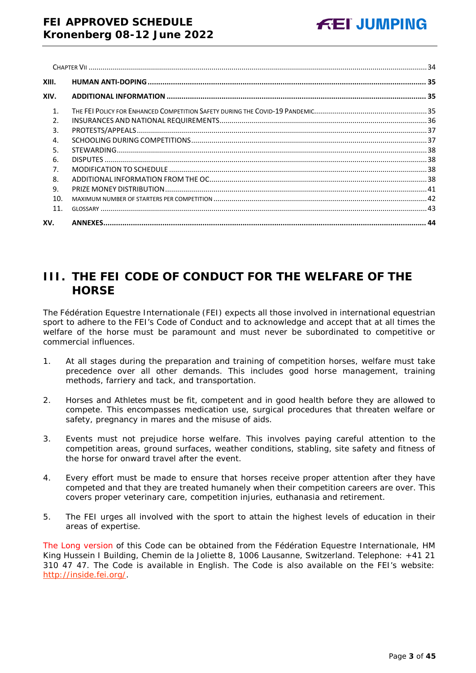| XIII.          |  |
|----------------|--|
| XIV.           |  |
| $\mathbf{1}$ . |  |
| $\mathcal{P}$  |  |
| 3.             |  |
| $\overline{4}$ |  |
| .5.            |  |
| 6.             |  |
| 7 <sub>1</sub> |  |
| 8.             |  |
| 9.             |  |
| 10.            |  |
| 11.            |  |
| XV.            |  |

# <span id="page-2-0"></span>**III. THE FEI CODE OF CONDUCT FOR THE WELFARE OF THE HORSE**

The Fédération Equestre Internationale (FEI) expects all those involved in international equestrian sport to adhere to the FEI's Code of Conduct and to acknowledge and accept that at all times the welfare of the horse must be paramount and must never be subordinated to competitive or commercial influences.

- 1. At all stages during the preparation and training of competition horses, welfare must take precedence over all other demands. This includes good horse management, training methods, farriery and tack, and transportation.
- 2. Horses and Athletes must be fit, competent and in good health before they are allowed to compete. This encompasses medication use, surgical procedures that threaten welfare or safety, pregnancy in mares and the misuse of aids.
- 3. Events must not prejudice horse welfare. This involves paying careful attention to the competition areas, ground surfaces, weather conditions, stabling, site safety and fitness of the horse for onward travel after the event.
- 4. Every effort must be made to ensure that horses receive proper attention after they have competed and that they are treated humanely when their competition careers are over. This covers proper veterinary care, competition injuries, euthanasia and retirement.
- 5. The FEI urges all involved with the sport to attain the highest levels of education in their areas of expertise.

The Long version of this Code can be obtained from the Fédération Equestre Internationale, HM King Hussein I Building, Chemin de la Joliette 8, 1006 Lausanne, Switzerland. Telephone: +41 21 310 47 47. The Code is available in English. The Code is also available on the FEI's website: [http://inside.fei.org/.](http://inside.fei.org/)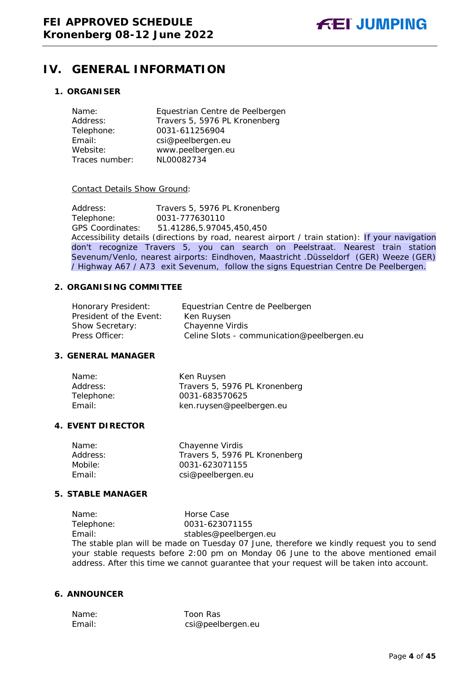# <span id="page-3-0"></span>**IV. GENERAL INFORMATION**

### **1. ORGANISER**

| Name:          | Equestrian Centre de Peelbergen |
|----------------|---------------------------------|
| Address:       | Travers 5, 5976 PL Kronenberg   |
| Telephone:     | 0031-611256904                  |
| Email:         | csi@peelbergen.eu               |
| Website:       | www.peelbergen.eu               |
| Traces number: | NL00082734                      |

#### Contact Details Show Ground:

Address: Travers 5, 5976 PL Kronenberg<br>Telephone: 0031-777630110 Telephone: 0031-777630110 GPS Coordinates: 51.41286,5.97045,450,450 Accessibility details (directions by road, nearest airport / train station): If your navigation don't recognize Travers 5, you can search on Peelstraat. Nearest train station Sevenum/Venlo, nearest airports: Eindhoven, Maastricht .Düsseldorf (GER) Weeze (GER) / Highway A67 / A73 exit Sevenum, follow the signs Equestrian Centre De Peelbergen.

#### **2. ORGANISING COMMITTEE**

| Honorary President:     | Equestrian Centre de Peelbergen            |
|-------------------------|--------------------------------------------|
| President of the Event: | Ken Ruysen                                 |
| <b>Show Secretary:</b>  | Chayenne Virdis                            |
| Press Officer:          | Celine Slots - communication@peelbergen.eu |

## **3. GENERAL MANAGER**

| Name:      | Ken Ruysen                    |
|------------|-------------------------------|
| Address:   | Travers 5, 5976 PL Kronenberg |
| Telephone: | 0031-683570625                |
| Email:     | ken.ruysen@peelbergen.eu      |

#### **4. EVENT DIRECTOR**

| Name:    | Chayenne Virdis               |
|----------|-------------------------------|
| Address: | Travers 5, 5976 PL Kronenberg |
| Mobile:  | 0031-623071155                |
| Fmail:   | csi@peelbergen.eu             |
|          |                               |

#### **5. STABLE MANAGER**

Name: Horse Case<br>Telephone: 0031-62307 0031-623071155 Email: stables@peelbergen.eu The stable plan will be made on Tuesday 07 June, therefore we kindly request you to send your stable requests before 2:00 pm on Monday 06 June to the above mentioned email address. After this time we cannot guarantee that your request will be taken into account.

# **6. ANNOUNCER**

Name: Toon Ras Email: csi@peelbergen.eu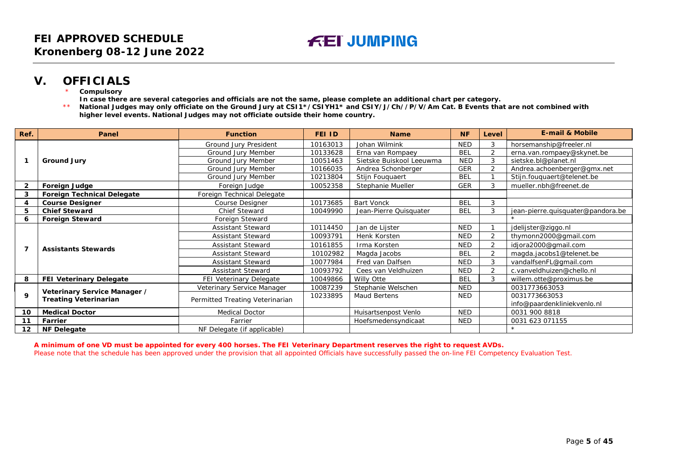# **V. OFFICIALS**

- **Compulsory**
- **In case there are several categories and officials are not the same, please complete an additional chart per category.**
- \*\* **National Judges may only officiate on the Ground Jury at CSI1\*/CSIYH1\* and CSIY/J/Ch//P/V/Am Cat. B Events that are not combined with higher level events. National Judges may not officiate outside their home country.**

| Ref. | Panel                                                        | <b>Function</b>                 | FEI ID   | <b>Name</b>              | <b>NF</b>  | Level          | <b>E-mail &amp; Mobile</b>        |
|------|--------------------------------------------------------------|---------------------------------|----------|--------------------------|------------|----------------|-----------------------------------|
|      |                                                              | Ground Jury President           | 10163013 | Johan Wilmink            | <b>NED</b> | 3              | horsemanship@freeler.nl           |
|      |                                                              | Ground Jury Member              | 10133628 | Erna van Rompaey         | <b>BEL</b> | 2              | erna.van.rompaey@skynet.be        |
|      | <b>Ground Jury</b>                                           | Ground Jury Member              | 10051463 | Sietske Buiskool Leeuwma | <b>NED</b> | 3              | sietske.bl@planet.nl              |
|      |                                                              | Ground Jury Member              | 10166035 | Andrea Schonberger       | <b>GER</b> | $\mathfrak{p}$ | Andrea.achoenberger@gmx.net       |
|      |                                                              | Ground Jury Member              | 10213804 | Stijn Fouguaert          | <b>BEL</b> |                | Stijn.fouquaert@telenet.be        |
| 2    | Foreign Judge                                                | Foreign Judge                   | 10052358 | Stephanie Mueller        | <b>GER</b> | 3              | mueller.nbh@freenet.de            |
| 3    | <b>Foreign Technical Delegate</b>                            | Foreign Technical Delegate      |          |                          |            |                |                                   |
| 4    | <b>Course Designer</b>                                       | Course Designer                 | 10173685 | <b>Bart Vonck</b>        | <b>BEL</b> | 3              |                                   |
| 5    | <b>Chief Steward</b>                                         | Chief Steward                   | 10049990 | Jean-Pierre Quisquater   | <b>BEL</b> | 3              | jean-pierre.quisquater@pandora.be |
| 6    | <b>Foreign Steward</b>                                       | Foreign Steward                 |          |                          |            |                |                                   |
|      | <b>Assistants Stewards</b>                                   | <b>Assistant Steward</b>        | 10114450 | Jan de Lijster           | <b>NED</b> |                | jdelijster@ziggo.nl               |
|      |                                                              | <b>Assistant Steward</b>        | 10093791 | Henk Korsten             | <b>NED</b> | $\overline{2}$ | thymonn2000@gmail.com             |
|      |                                                              | <b>Assistant Steward</b>        | 10161855 | Irma Korsten             | <b>NED</b> | $\overline{2}$ | idjora2000@gmail.com              |
|      |                                                              | <b>Assistant Steward</b>        | 10102982 | Magda Jacobs             | <b>BEL</b> | $\overline{2}$ | magda.jacobs1@telenet.be          |
|      |                                                              | <b>Assistant Steward</b>        | 10077984 | Fred van Dalfsen         | <b>NED</b> | 3              | vandalfsenFL@gmail.com            |
|      |                                                              | <b>Assistant Steward</b>        | 10093792 | Cees van Veldhuizen      | <b>NED</b> | $\overline{2}$ | c.vanveldhuizen@chello.nl         |
| 8    | FEI Veterinary Delegate                                      | FEI Veterinary Delegate         | 10049866 | Willy Otte               | <b>BEL</b> | 3              | willem.otte@proximus.be           |
|      | Veterinary Service Manager /<br><b>Treating Veterinarian</b> | Veterinary Service Manager      | 10087239 | Stephanie Welschen       | <b>NED</b> |                | 0031773663053                     |
| 9    |                                                              | Permitted Treating Veterinarian | 10233895 | Maud Bertens             | <b>NED</b> |                | 0031773663053                     |
|      |                                                              |                                 |          |                          |            |                | info@paardenkliniekvenlo.nl       |
| 10   | <b>Medical Doctor</b>                                        | <b>Medical Doctor</b>           |          | Huisartsenpost Venlo     | <b>NED</b> |                | 0031 900 8818                     |
| 11   | Farrier                                                      | Farrier                         |          | Hoefsmedensyndicaat      | <b>NED</b> |                | 0031 623 071155                   |
| 12   | <b>NF Delegate</b>                                           | NF Delegate (if applicable)     |          |                          |            |                |                                   |

<span id="page-4-0"></span>**A minimum of one VD must be appointed for every 400 horses. The FEI Veterinary Department reserves the right to request AVDs.** Please note that the schedule has been approved under the provision that all appointed Officials have successfully passed the on-line FEI Competency Evaluation Test.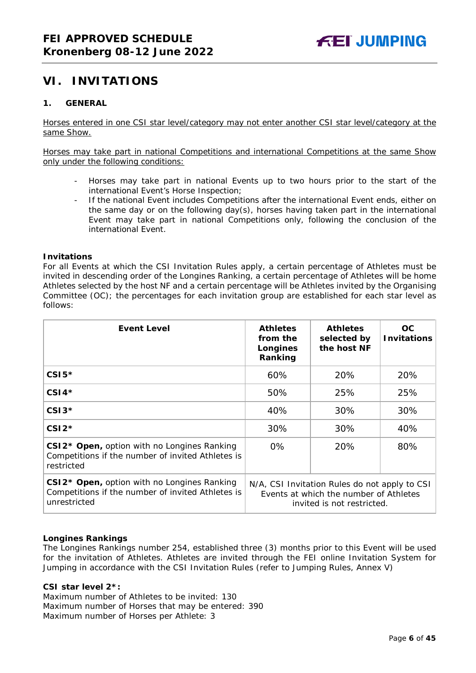# <span id="page-5-0"></span>**VI. INVITATIONS**

## <span id="page-5-1"></span>**1. GENERAL**

Horses entered in one CSI star level/category may not enter another CSI star level/category at the same Show.

Horses may take part in national Competitions and international Competitions at the same Show only under the following conditions:

- Horses may take part in national Events up to two hours prior to the start of the international Event's Horse Inspection;
- If the national Event includes Competitions after the international Event ends, either on the same day or on the following day(s), horses having taken part in the international Event may take part in national Competitions only, following the conclusion of the international Event.

#### **Invitations**

For all Events at which the CSI Invitation Rules apply, a certain percentage of Athletes must be invited in descending order of the Longines Ranking, a certain percentage of Athletes will be home Athletes selected by the host NF and a certain percentage will be Athletes invited by the Organising Committee (OC); the percentages for each invitation group are established for each star level as follows:

| <b>Event Level</b>                                                                                                           | <b>Athletes</b><br>from the<br>Longines<br>Ranking                                                                    | <b>Athletes</b><br>selected by<br>the host NF | OC.<br><b>Invitations</b> |
|------------------------------------------------------------------------------------------------------------------------------|-----------------------------------------------------------------------------------------------------------------------|-----------------------------------------------|---------------------------|
| $CSI5*$                                                                                                                      | 60%                                                                                                                   | 20%                                           | 20%                       |
| $CSI4*$                                                                                                                      | 50%                                                                                                                   | 25%                                           | 25%                       |
| $CSI3*$                                                                                                                      | 40%                                                                                                                   | 30%                                           | 30%                       |
| $CSI2*$                                                                                                                      | 30%                                                                                                                   | 30%                                           | 40%                       |
| CSI2* Open, option with no Longines Ranking<br>Competitions if the number of invited Athletes is<br>restricted               | $0\%$                                                                                                                 | 20%                                           | 80%                       |
| CSI2 <sup>*</sup> Open, option with no Longines Ranking<br>Competitions if the number of invited Athletes is<br>unrestricted | N/A, CSI Invitation Rules do not apply to CSI<br>Events at which the number of Athletes<br>invited is not restricted. |                                               |                           |

#### **Longines Rankings**

The Longines Rankings number 254, established three (3) months prior to this Event will be used for the invitation of Athletes. Athletes are invited through the FEI online Invitation System for Jumping in accordance with the CSI Invitation Rules (refer to Jumping Rules, Annex V)

#### **CSI star level 2\*:**

Maximum number of Athletes to be invited: 130 Maximum number of Horses that may be entered: 390 Maximum number of Horses per Athlete: 3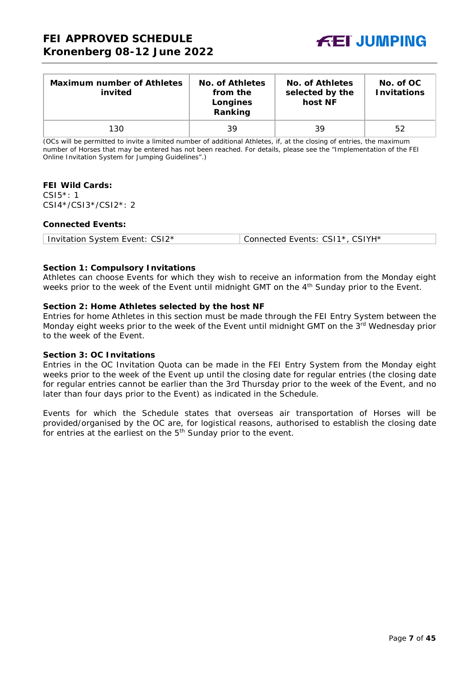

| <b>Maximum number of Athletes</b><br>invited | No. of Athletes<br>from the<br>Longines<br>Ranking | No. of Athletes<br>selected by the<br>host NF | No. of OC<br><b>Invitations</b> |
|----------------------------------------------|----------------------------------------------------|-----------------------------------------------|---------------------------------|
| 130                                          | 39                                                 | 39                                            | 52                              |

(OCs will be permitted to invite a limited number of additional Athletes, if, at the closing of entries, the maximum number of Horses that may be entered has not been reached. For details, please see the "Implementation of the FEI Online Invitation System for Jumping Guidelines".)

#### **FEI Wild Cards:**

CSI5\*: 1 CSI4\*/CSI3\*/CSI2\*: 2

#### **Connected Events:**

| Invitation System Event: CSI2* | Connected Events: CSI1*, CSIYH* |
|--------------------------------|---------------------------------|
|--------------------------------|---------------------------------|

#### **Section 1: Compulsory Invitations**

Athletes can choose Events for which they wish to receive an information from the Monday eight weeks prior to the week of the Event until midnight GMT on the 4<sup>th</sup> Sunday prior to the Event.

#### **Section 2: Home Athletes selected by the host NF**

Entries for home Athletes in this section must be made through the FEI Entry System between the Monday eight weeks prior to the week of the Event until midnight GMT on the 3rd Wednesday prior to the week of the Event.

#### **Section 3: OC Invitations**

Entries in the OC Invitation Quota can be made in the FEI Entry System from the Monday eight weeks prior to the week of the Event up until the closing date for regular entries (the closing date for regular entries cannot be earlier than the 3rd Thursday prior to the week of the Event, and no later than four days prior to the Event) as indicated in the Schedule.

Events for which the Schedule states that overseas air transportation of Horses will be provided/organised by the OC are, for logistical reasons, authorised to establish the closing date for entries at the earliest on the 5<sup>th</sup> Sunday prior to the event.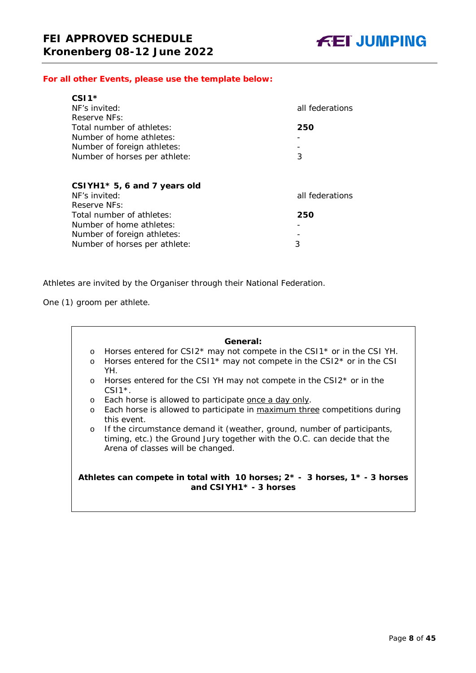#### *For all other Events, please use the template below:*

| $CSI1*$                       |                 |
|-------------------------------|-----------------|
| NF's invited:                 | all federations |
| Reserve NFs:                  |                 |
| Total number of athletes:     | 250             |
| Number of home athletes:      |                 |
| Number of foreign athletes:   |                 |
| Number of horses per athlete: | 3               |
|                               |                 |
|                               |                 |

| CSIYH1 $*$ 5, 6 and 7 years old |                 |
|---------------------------------|-----------------|
| NF's invited:                   | all federations |
| Reserve NFs:                    |                 |
| Total number of athletes:       | 250             |
| Number of home athletes:        |                 |
| Number of foreign athletes:     |                 |
| Number of horses per athlete:   | 3               |
|                                 |                 |

Athletes are invited by the Organiser through their National Federation.

One (1) groom per athlete.

# **General:** o Horses entered for CSI2\* may not compete in the CSI1\* or in the CSI YH. o Horses entered for the CSI1 $*$  may not compete in the CSI2 $*$  or in the CSI YH. o Horses entered for the CSI YH may not compete in the CSI2\* or in the  $CSI1*$ . o Each horse is allowed to participate once a day only. o Each horse is allowed to participate in maximum three competitions during this event. o If the circumstance demand it (weather, ground, number of participants, timing, etc.) the Ground Jury together with the O.C. can decide that the Arena of classes will be changed. **Athletes can compete in total with 10 horses; 2\* - 3 horses, 1\* - 3 horses and CSIYH1\* - 3 horses**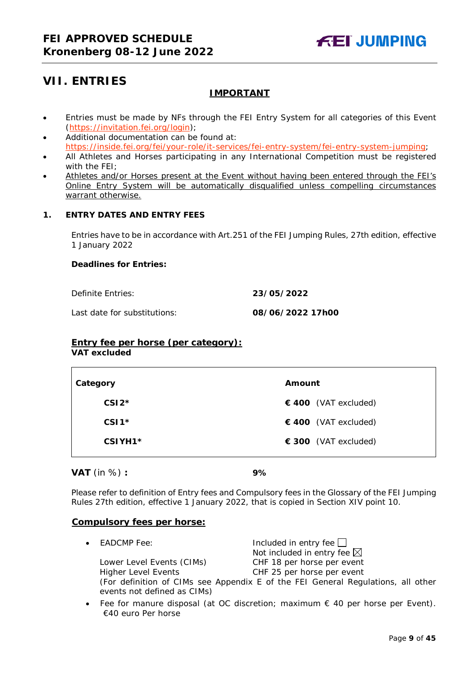# <span id="page-8-0"></span>**VII. ENTRIES**

# **IMPORTANT**

- Entries must be made by NFs through the FEI Entry System for all categories of this Event [\(https://invitation.fei.org/login\)](https://invitation.fei.org/login);
- Additional documentation can be found at: [https://inside.fei.org/fei/your-role/it-services/fei-entry-system/fei-entry-system-jumping;](https://inside.fei.org/fei/your-role/it-services/fei-entry-system/fei-entry-system-jumping)
- All Athletes and Horses participating in any International Competition must be registered with the FEI;
- Athletes and/or Horses present at the Event without having been entered through the FEI's Online Entry System will be automatically disqualified unless compelling circumstances warrant otherwise.

# <span id="page-8-1"></span>**1. ENTRY DATES AND ENTRY FEES**

Entries have to be in accordance with Art.251 of the FEI Jumping Rules, 27th edition, effective 1 January 2022

#### **Deadlines for Entries:**

Definite Entries: **23/05/2022**

Last date for substitutions: **08/06/2022 17h00**

# **Entry fee per horse** *(per category):*

**VAT excluded**

| Category | Amount               |
|----------|----------------------|
| $CSI2*$  | € 400 (VAT excluded) |
| $CSI1*$  | € 400 (VAT excluded) |
| CSIYH1*  | € 300 (VAT excluded) |

#### **VAT** (in %) **: 9%**

Please refer to definition of Entry fees and Compulsory fees in the Glossary of the FEI Jumping Rules 27th edition, effective 1 January 2022, that is copied in Section XIV point 10.

#### **Compulsory fees per horse:**

- EADCMP Fee: Included in entry fee Not included in entry fee  $\boxtimes$ Lower Level Events (CIMs) CHF 18 per horse per event Higher Level Events CHF 25 per horse per event (For definition of CIMs see Appendix E of the FEI General Regulations, all other events not defined as CIMs)
- Fee for manure disposal (at OC discretion; maximum  $\epsilon$  40 per horse per Event). €40 euro Per horse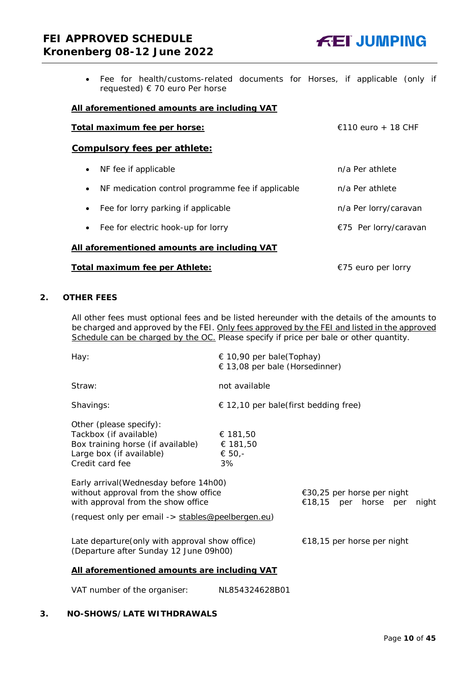# **FEI APPROVED SCHEDULE Kronenberg 08-12 June 2022**



• Fee for health/customs-related documents for Horses, if applicable (only if requested) € 70 euro Per horse

#### **All aforementioned amounts are including VAT**

| $\epsilon$ 110 euro + 18 CHF<br>Total maximum fee per horse:   |                       |  |
|----------------------------------------------------------------|-----------------------|--|
| <b>Compulsory fees per athlete:</b>                            |                       |  |
| NF fee if applicable<br>$\bullet$                              | n/a Per athlete       |  |
| NF medication control programme fee if applicable<br>$\bullet$ | n/a Per athlete       |  |
| Fee for lorry parking if applicable<br>$\bullet$               | n/a Per lorry/caravan |  |
| Fee for electric hook-up for lorry<br>$\bullet$                | €75 Per lorry/caravan |  |
| All aforementioned amounts are including VAT                   |                       |  |
| Total maximum fee per Athlete:                                 | €75 euro per lorry    |  |

## <span id="page-9-0"></span>**2. OTHER FEES**

All other fees must optional fees and be listed hereunder with the details of the amounts to be charged and approved by the FEI. Only fees approved by the FEI and listed in the approved Schedule can be charged by the OC. *Please specify if price per bale or other quantity.*

| Hay:                                                                                                                                                                                                                                                           | € 10,90 per bale(Tophay)<br>$\in$ 13,08 per bale (Horsedinner) |                                                    |       |
|----------------------------------------------------------------------------------------------------------------------------------------------------------------------------------------------------------------------------------------------------------------|----------------------------------------------------------------|----------------------------------------------------|-------|
| Straw:                                                                                                                                                                                                                                                         | not available                                                  |                                                    |       |
| Shavings:                                                                                                                                                                                                                                                      | $\epsilon$ 12,10 per bale(first bedding free)                  |                                                    |       |
| Other (please specify):<br>Tackbox (if available)<br>Box training horse (if available)<br>Large box (if available)<br>Credit card fee<br>Early arrival (Wednesday before 14h00)<br>without approval from the show office<br>with approval from the show office | € 181,50<br>€ 181,50<br>€ 50,-<br>3%                           | €30,25 per horse per night<br>€18,15 per horse per | night |
| (request only per email -> stables@peelbergen.eu)                                                                                                                                                                                                              |                                                                |                                                    |       |
| Late departure (only with approval show office)<br>€18,15 per horse per night<br>(Departure after Sunday 12 June 09h00)                                                                                                                                        |                                                                |                                                    |       |
| All aforementioned amounts are including VAT                                                                                                                                                                                                                   |                                                                |                                                    |       |

VAT number of the organiser: NL854324628B01

# <span id="page-9-1"></span>**3. NO-SHOWS/LATE WITHDRAWALS**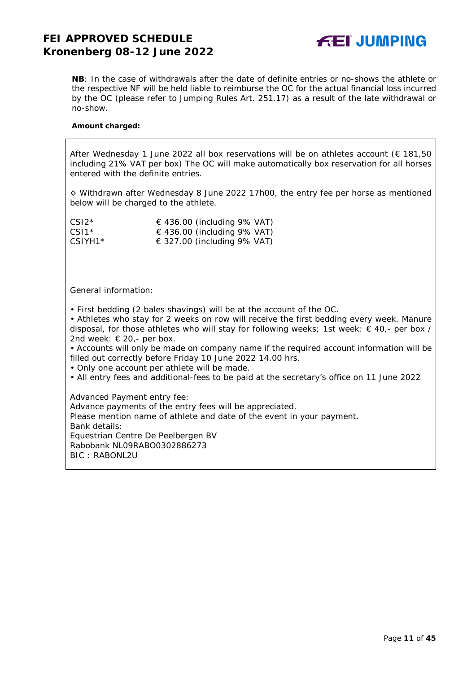**NB**: In the case of withdrawals after the date of definite entries or no-shows the athlete or the respective NF will be held liable to reimburse the OC for the actual financial loss incurred by the OC (please refer to Jumping Rules Art. 251.17) as a result of the late withdrawal or no-show.

#### **Amount charged:**

After Wednesday 1 June 2022 all box reservations will be on athletes account ( $\epsilon$  181,50 including 21% VAT per box) The OC will make automatically box reservation for all horses entered with the definite entries.

◊ Withdrawn after Wednesday 8 June 2022 17h00, the entry fee per horse as mentioned below will be charged to the athlete.

| $CS12*$             | $\in$ 436.00 (including 9% VAT) |
|---------------------|---------------------------------|
| $CS11*$             | $\in$ 436.00 (including 9% VAT) |
| CSIYH1 <sup>*</sup> | $\in$ 327.00 (including 9% VAT) |

General information:

• First bedding (2 bales shavings) will be at the account of the OC.

• Athletes who stay for 2 weeks on row will receive the first bedding every week. Manure disposal, for those athletes who will stay for following weeks; 1st week:  $\in$  40,- per box / 2nd week:  $\in$  20,- per box.

• Accounts will only be made on company name if the required account information will be filled out correctly before Friday 10 June 2022 14.00 hrs.

• Only one account per athlete will be made.

• All entry fees and additional-fees to be paid at the secretary's office on 11 June 2022

Advanced Payment entry fee: Advance payments of the entry fees will be appreciated. Please mention name of athlete and date of the event in your payment. Bank details: Equestrian Centre De Peelbergen BV Rabobank NL09RABO0302886273 BIC : RABONL2U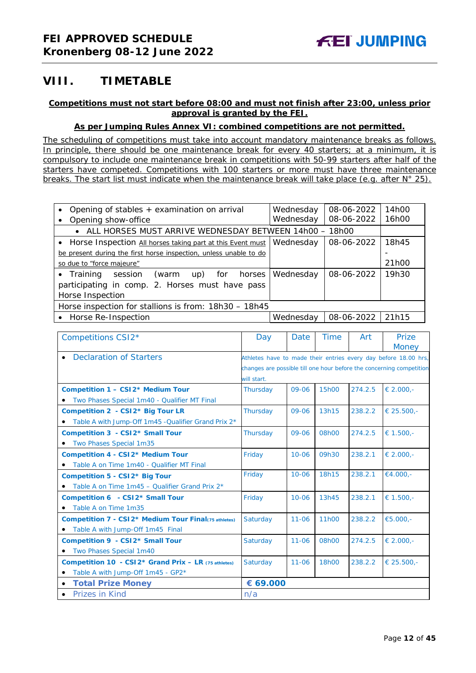# <span id="page-11-0"></span>**VIII. TIMETABLE**

## **Competitions must not start before 08:00 and must not finish after 23:00, unless prior approval is granted by the FEI.**

## **As per Jumping Rules Annex VI: combined competitions are not permitted.**

*The scheduling of competitions must take into account mandatory maintenance breaks as follows. In principle, there should be one maintenance break for every 40 starters; at a minimum, it is compulsory to include one maintenance break in competitions with 50-99 starters after half of the starters have competed. Competitions with 100 starters or more must have three maintenance breaks. The start list must indicate when the maintenance break will take place (e.g. after N° 25).*

| Opening of stables + examination on arrival                       | Wednesday | 08-06-2022 | 14h00 |
|-------------------------------------------------------------------|-----------|------------|-------|
| Opening show-office                                               | Wednesday | 08-06-2022 | 16h00 |
| • ALL HORSES MUST ARRIVE WEDNESDAY BETWEEN 14h00 - 18h00          |           |            |       |
| • Horse Inspection All horses taking part at this Event must      | Wednesday | 08-06-2022 | 18h45 |
| be present during the first horse inspection, unless unable to do |           |            |       |
| so due to "force majeure"                                         |           |            | 21h00 |
| $\bullet$ Training<br>session<br>(warm<br>up) for<br>horses       | Wednesday | 08-06-2022 | 19h30 |
| participating in comp. 2. Horses must have pass                   |           |            |       |
| Horse Inspection                                                  |           |            |       |
| Horse inspection for stallions is from: 18h30 - 18h45             |           |            |       |
| • Horse Re-Inspection                                             | Wednesday | 08-06-2022 | 21h15 |

| Competitions CSI2*                                   | Day         | <b>Date</b> | <b>Time</b>       | Art     | Prize                                                                |
|------------------------------------------------------|-------------|-------------|-------------------|---------|----------------------------------------------------------------------|
|                                                      |             |             |                   |         | <b>Money</b>                                                         |
| <b>Declaration of Starters</b>                       |             |             |                   |         | Athletes have to made their entries every day before 18.00 hrs,      |
|                                                      |             |             |                   |         | changes are possible till one hour before the concerning competition |
|                                                      | will start. |             |                   |         |                                                                      |
| Competition 1 - CSI2* Medium Tour                    | Thursday    | 09-06       | 15h00             | 274.2.5 | € 2.000.-                                                            |
| Two Phases Special 1m40 - Qualifier MT Final         |             |             |                   |         |                                                                      |
| Competition 2 - CSI2* Big Tour LR                    | Thursday    | $09 - 06$   | 13h15             | 238.2.2 | € 25.500,-                                                           |
| Table A with Jump-Off 1m45 -Qualifier Grand Prix 2*  |             |             |                   |         |                                                                      |
| Competition 3 - CSI2* Small Tour                     | Thursday    | 09-06       | 08h00             | 274.2.5 | € 1.500.-                                                            |
| Two Phases Special 1m35                              |             |             |                   |         |                                                                      |
| <b>Competition 4 - CSI2* Medium Tour</b>             | Friday      | $10 - 06$   | 09h30             | 238.2.1 | € 2.000.-                                                            |
| Table A on Time 1m40 - Qualifier MT Final            |             |             |                   |         |                                                                      |
| Competition 5 - CSI2* Big Tour                       | Friday      | $10 - 06$   | 18h15             | 238.2.1 | €4.000.-                                                             |
| • Table A on Time $1m45 -$ Qualifier Grand Prix $2*$ |             |             |                   |         |                                                                      |
| Competition 6 - CSI2* Small Tour                     | Friday      | $10 - 06$   | 13h45             | 238.2.1 | € 1.500,-                                                            |
| • Table A on Time 1m35                               |             |             |                   |         |                                                                      |
| Competition 7 - CSI2* Medium Tour Final(75 athletes) | Saturday    | $11 - 06$   | 11 <sub>h00</sub> | 238.2.2 | €5.000,-                                                             |
| • Table A with Jump-Off 1m45 Final                   |             |             |                   |         |                                                                      |
| Competition 9 - CSI2* Small Tour                     | Saturday    | $11 - 06$   | 08h00             | 274.2.5 | € 2.000,-                                                            |
| • Two Phases Special 1m40                            |             |             |                   |         |                                                                      |
| Competition 10 - CSI2* Grand Prix - LR (75 athletes) | Saturday    | $11 - 06$   | 18h00             | 238.2.2 | € 25.500,-                                                           |
| Table A with Jump-Off 1m45 - GP2*<br>$\bullet$       |             |             |                   |         |                                                                      |
| <b>Total Prize Money</b><br>$\bullet$                | € 69.000    |             |                   |         |                                                                      |
| <b>Prizes in Kind</b><br>$\bullet$                   | n/a         |             |                   |         |                                                                      |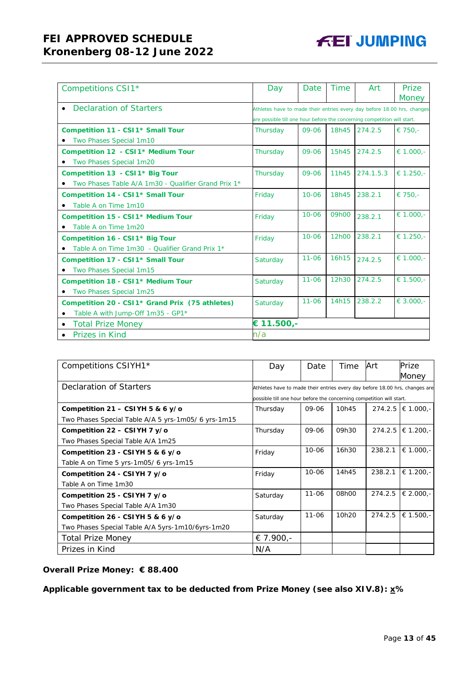# **FEI APPROVED SCHEDULE Kronenberg 08-12 June 2022**

| Competitions CSI1*                                          | Day                                                                      | Date      | <b>Time</b> | Art       | Prize<br><b>Money</b> |
|-------------------------------------------------------------|--------------------------------------------------------------------------|-----------|-------------|-----------|-----------------------|
| Declaration of Starters                                     | Athletes have to made their entries every day before 18.00 hrs, changes  |           |             |           |                       |
|                                                             | are possible till one hour before the concerning competition will start. |           |             |           |                       |
| Competition 11 - CSI1* Small Tour                           | Thursday                                                                 | 09-06     | 18h45       | 274.2.5   | € 750,-               |
| Two Phases Special 1m10                                     |                                                                          |           |             |           |                       |
| Competition 12 - CSI 1* Medium Tour                         | Thursday                                                                 | 09-06     | 15h45       | 274.2.5   | € 1.000,-             |
| Two Phases Special 1m20                                     |                                                                          |           |             |           |                       |
| Competition 13 - CSI 1* Big Tour                            | Thursday                                                                 | 09-06     | 11h45       | 274.1.5.3 | € 1.250,-             |
| Two Phases Table A/A 1m30 - Qualifier Grand Prix 1*         |                                                                          |           |             |           |                       |
| Competition 14 - CSI1* Small Tour                           | Friday                                                                   | $10 - 06$ | 18h45       | 238.2.1   | € 750,-               |
| Table A on Time 1m10                                        |                                                                          |           |             |           |                       |
| Competition 15 - CSI1* Medium Tour                          | Friday                                                                   | $10 - 06$ | 09h00       | 238.2.1   | $\epsilon$ 1.000,-    |
| • Table A on Time 1m20                                      |                                                                          |           |             |           |                       |
| Competition 16 - CSI1 <sup>*</sup> Big Tour                 | Friday                                                                   | $10 - 06$ | 12h00       | 238.2.1   | € 1.250,-             |
| Table A on Time 1m30 - Qualifier Grand Prix 1*              |                                                                          |           |             |           |                       |
| Competition 17 - CSI1* Small Tour                           | Saturday                                                                 | $11 - 06$ | 16h15       | 274.2.5   | € 1.000,-             |
| Two Phases Special 1m15                                     |                                                                          |           |             |           |                       |
| Competition 18 - CSI1* Medium Tour                          | Saturday                                                                 | $11 - 06$ | 12h30       | 274.2.5   | $\epsilon$ 1.500,-    |
| Two Phases Special 1m25                                     |                                                                          |           |             |           |                       |
| Competition 20 - CSI1 <sup>*</sup> Grand Prix (75 athletes) | Saturday                                                                 | $11 - 06$ | 14h15       | 238.2.2   | $\in$ 3.000,-         |
| Table A with Jump-Off 1m35 - GP1*                           |                                                                          |           |             |           |                       |
| <b>Total Prize Money</b>                                    | € 11.500,-                                                               |           |             |           |                       |
| Prizes in Kind                                              | n/a                                                                      |           |             |           |                       |

| Competitions CSIYH1 <sup>*</sup>                    | Day                                                                         | Date      | Time  | Art     | Prize                   |
|-----------------------------------------------------|-----------------------------------------------------------------------------|-----------|-------|---------|-------------------------|
|                                                     |                                                                             |           |       |         | Money                   |
| Declaration of Starters                             | Athletes have to made their entries every day before 18.00 hrs, changes are |           |       |         |                         |
|                                                     | possible till one hour before the concerning competition will start.        |           |       |         |                         |
| Competition 21 – CSIYH 5 & 6 y/o                    | Thursday                                                                    | 09-06     | 10h45 |         | $274.2.5$ $\in$ 1.000.- |
| Two Phases Special Table A/A 5 yrs-1m05/ 6 yrs-1m15 |                                                                             |           |       |         |                         |
| Competition 22 - CSIYH 7 y/o                        | Thursday                                                                    | 09-06     | 09h30 | 274.2.5 | € 1.200,-               |
| Two Phases Special Table A/A 1m25                   |                                                                             |           |       |         |                         |
| Competition 23 - CSIYH 5 & 6 $y$ /o                 | Friday                                                                      | $10 - 06$ | 16h30 | 238.2.1 | $\in$ 1.000,-           |
| Table A on Time 5 yrs-1m05/6 yrs-1m15               |                                                                             |           |       |         |                         |
| Competition 24 - CSIYH 7 y/o                        | Friday                                                                      | $10 - 06$ | 14h45 | 238.2.1 | € 1.200.-               |
| Table A on Time 1m30                                |                                                                             |           |       |         |                         |
| Competition 25 - CSIYH 7 y/o                        | Saturday                                                                    | $11 - 06$ | 08h00 | 274.2.5 | € 2.000,-               |
| Two Phases Special Table A/A 1m30                   |                                                                             |           |       |         |                         |
| Competition 26 - CSIYH 5 & 6 y/o                    | Saturday                                                                    | $11 - 06$ | 10h20 | 274.2.5 | € 1.500.-               |
| Two Phases Special Table A/A 5yrs-1m10/6yrs-1m20    |                                                                             |           |       |         |                         |
| Total Prize Money                                   | € 7.900,-                                                                   |           |       |         |                         |
| Prizes in Kind                                      | N/A                                                                         |           |       |         |                         |

# **Overall Prize Money: € 88.400**

**Applicable government tax to be deducted from Prize Money (see also XIV.8): x%**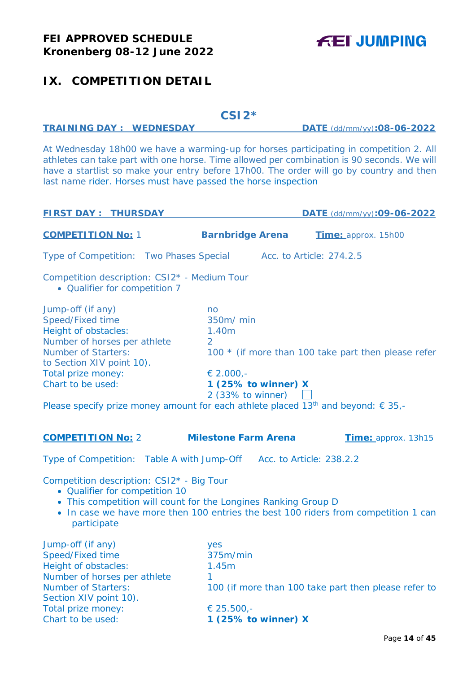# <span id="page-13-0"></span>**IX. COMPETITION DETAIL**

# **CSI2\***

# **TRAINING DAY : WEDNESDAY DATE** (dd/mm/yy)**:08-06-2022**

At Wednesday 18h00 we have a warming-up for horses participating in competition 2. All athletes can take part with one horse. Time allowed per combination is 90 seconds. We will have a startlist so make your entry before 17h00. The order will go by country and then last name rider. Horses must have passed the horse inspection

| <b>FIRST DAY: THURSDAY</b>                                                                                                                                                                                                                                                                                    |                                                                                                     |                          | DATE (dd/mm/yy):09-06-2022                           |
|---------------------------------------------------------------------------------------------------------------------------------------------------------------------------------------------------------------------------------------------------------------------------------------------------------------|-----------------------------------------------------------------------------------------------------|--------------------------|------------------------------------------------------|
| <b>COMPETITION No: 1</b>                                                                                                                                                                                                                                                                                      | <b>Barnbridge Arena</b>                                                                             |                          | Time: approx. 15h00                                  |
| Type of Competition: Two Phases Special                                                                                                                                                                                                                                                                       |                                                                                                     | Acc. to Article: 274.2.5 |                                                      |
| Competition description: CSI2* - Medium Tour<br>• Qualifier for competition 7                                                                                                                                                                                                                                 |                                                                                                     |                          |                                                      |
| Jump-off (if any)<br>Speed/Fixed time<br>Height of obstacles:<br>Number of horses per athlete<br><b>Number of Starters:</b><br>to Section XIV point 10).<br>Total prize money:<br>Chart to be used:<br>Please specify prize money amount for each athlete placed 13 <sup>th</sup> and beyond: $\epsilon$ 35,- | no<br>350m/ min<br>1.40m<br>$\overline{2}$<br>€ 2.000,-<br>1 (25% to winner) X<br>2 (33% to winner) |                          | 100 * (if more than 100 take part then please refer  |
| <b>COMPETITION No: 2</b>                                                                                                                                                                                                                                                                                      | <b>Milestone Farm Arena</b>                                                                         |                          | Time: approx. 13h15                                  |
| Type of Competition: Table A with Jump-Off Acc. to Article: 238.2.2                                                                                                                                                                                                                                           |                                                                                                     |                          |                                                      |
| Competition description: CSI2* - Big Tour<br>• Qualifier for competition 10<br>• This competition will count for the Longines Ranking Group D<br>• In case we have more then 100 entries the best 100 riders from competition 1 can<br>participate                                                            |                                                                                                     |                          |                                                      |
| Jump-off (if any)<br>Speed/Fixed time<br>Height of obstacles:<br>Number of horses per athlete<br><b>Number of Starters:</b><br>Section XIV point 10).<br>Total prize money:<br>Chart to be used:                                                                                                              | yes<br>375m/min<br>1.45m<br>1<br>€ 25.500,-<br>1 (25% to winner) X                                  |                          | 100 (if more than 100 take part then please refer to |
|                                                                                                                                                                                                                                                                                                               |                                                                                                     |                          | $D_{0.92}$ 4 A of AC                                 |

Page **14** of **45**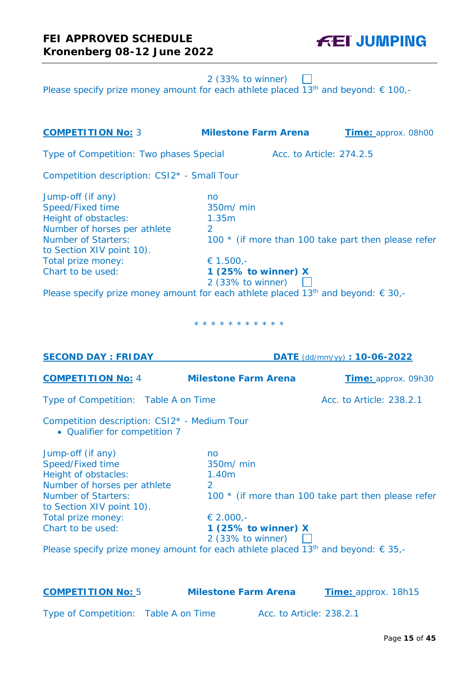**FEI JUMPING** 

2 (33% to winner)

Please specify prize money amount for each athlete placed  $13<sup>th</sup>$  and beyond:  $\epsilon$  100,-

| <b>COMPETITION No: 3</b>                                                                                                                                                                                                                                                                                      | <b>Milestone Farm Arena</b>                                                                         | Time: approx. 08h00                                 |
|---------------------------------------------------------------------------------------------------------------------------------------------------------------------------------------------------------------------------------------------------------------------------------------------------------------|-----------------------------------------------------------------------------------------------------|-----------------------------------------------------|
| Type of Competition: Two phases Special                                                                                                                                                                                                                                                                       |                                                                                                     | Acc. to Article: 274.2.5                            |
| Competition description: CSI2* - Small Tour                                                                                                                                                                                                                                                                   |                                                                                                     |                                                     |
| Jump-off (if any)<br>Speed/Fixed time<br>Height of obstacles:<br>Number of horses per athlete<br><b>Number of Starters:</b><br>to Section XIV point 10).<br>Total prize money:<br>Chart to be used:<br>Please specify prize money amount for each athlete placed 13 <sup>th</sup> and beyond: $\epsilon$ 30,- | no<br>350m/ min<br>1.35m<br>$\overline{2}$<br>€ 1.500,-<br>1 (25% to winner) X<br>2 (33% to winner) | 100 * (if more than 100 take part then please refer |
|                                                                                                                                                                                                                                                                                                               | * * * * * * * * * * *                                                                               |                                                     |
| <b>SECOND DAY: FRIDAY</b>                                                                                                                                                                                                                                                                                     |                                                                                                     | DATE (dd/mm/yy): 10-06-2022                         |
| <b>COMPETITION No: 4</b>                                                                                                                                                                                                                                                                                      | <b>Milestone Farm Arena</b>                                                                         | Time: approx. 09h30                                 |
| Type of Competition: Table A on Time                                                                                                                                                                                                                                                                          |                                                                                                     | Acc. to Article: 238.2.1                            |
| Competition description: CSI2* - Medium Tour<br>• Qualifier for competition 7                                                                                                                                                                                                                                 |                                                                                                     |                                                     |
| Jump-off (if any)<br>Speed/Fixed time<br>Height of obstacles:<br>Number of horses per athlete<br><b>Number of Starters:</b><br>to Section XIV point 10).<br>Total prize money:<br>Chart to be used:<br>Please specify prize money amount for each athlete placed 13 <sup>th</sup> and beyond: $\epsilon$ 35,- | no<br>350m/ min<br>1.40m<br>€ 2.000,-<br>1 (25% to winner) X<br>2 (33% to winner)                   | 100 * (if more than 100 take part then please refer |
| <b>COMPETITION No: 5</b>                                                                                                                                                                                                                                                                                      | <b>Milestone Farm Arena</b>                                                                         | Time: approx. 18h15                                 |

Type of Competition: Table A on Time Acc. to Article: 238.2.1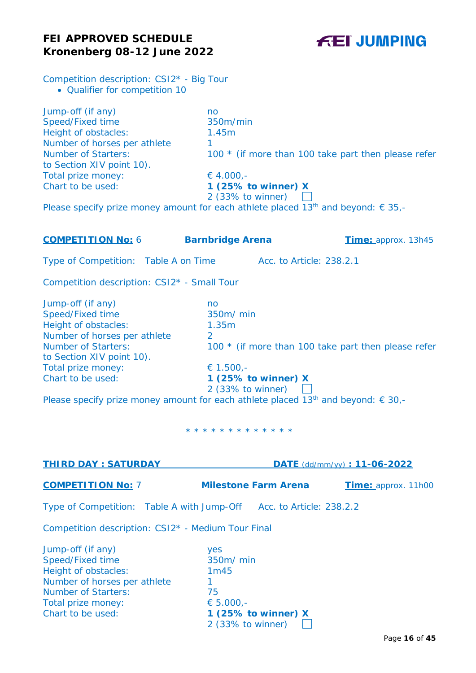Competition description: CSI2\* - Big Tour • Qualifier for competition 10

Jump-off (if any) no Speed/Fixed time 350m/min Height of obstacles: 1.45m Number of horses per athlete 1<br>Number of Starters: 1 to Section XIV point 10). Total prize money:  $64.000, -$ Chart to be used: **1 (25% to winner) X**

100  $*$  (if more than 100 take part then please refer

# 2 (33% to winner)

Please specify prize money amount for each athlete placed 13<sup>th</sup> and beyond:  $\epsilon$  35,-

**COMPETITION No:** 6 **Barnbridge Arena Time:** approx. 13h45 Type of Competition: Table A on Time Acc. to Article: 238.2.1 Competition description: CSI2\* - Small Tour Jump-off (if any) no Speed/Fixed time 350m/ min Height of obstacles: 1.35m Number of horses per athlete 2<br>Number of Starters: 10 100  $*$  (if more than 100 take part then please refer to Section XIV point 10). Total prize money:  $\epsilon$  1.500,-Chart to be used: **1 (25% to winner) X** 2 (33% to winner)

Please specify prize money amount for each athlete placed 13<sup>th</sup> and beyond:  $\epsilon$  30,-

\* \* \* \* \* \* \* \* \* \* \* \* \*

| <b>THIRD DAY: SATURDAY</b>                                          |                             | DATE (dd/mm/yy): 11-06-2022 |
|---------------------------------------------------------------------|-----------------------------|-----------------------------|
| <b>COMPETITION No: 7</b>                                            | <b>Milestone Farm Arena</b> | Time: approx. 11h00         |
| Type of Competition: Table A with Jump-Off Acc. to Article: 238.2.2 |                             |                             |
| Competition description: CSI2 <sup>*</sup> - Medium Tour Final      |                             |                             |
| Jump-off (if any)                                                   | yes                         |                             |
| Speed/Fixed time                                                    | 350m/ min                   |                             |
| Height of obstacles:                                                | 1m45                        |                             |
| Number of horses per athlete                                        |                             |                             |
| <b>Number of Starters:</b>                                          | 75                          |                             |
| Total prize money:                                                  | € $5.000,-$                 |                             |
| Chart to be used:                                                   | 1 (25% to winner) $X$       |                             |
|                                                                     | 2 (33% to winner)           |                             |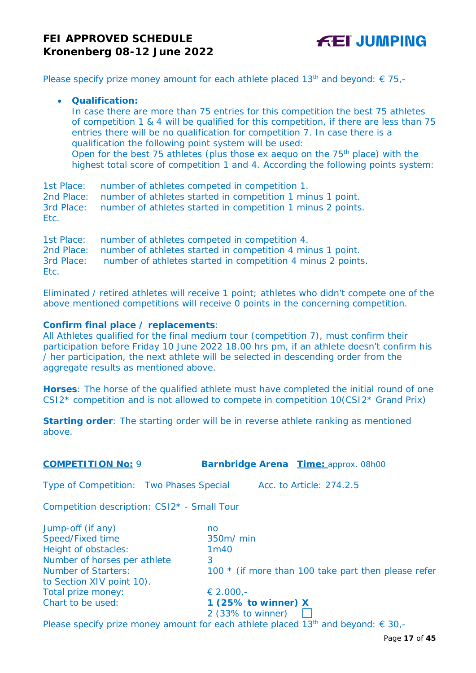Please specify prize money amount for each athlete placed 13<sup>th</sup> and beyond:  $\epsilon$  75,-

# • **Qualification:**

In case there are more than 75 entries for this competition the best 75 athletes of competition 1 & 4 will be qualified for this competition, if there are less than 75 entries there will be no qualification for competition 7. In case there is a qualification the following point system will be used: Open for the best 75 athletes (plus those ex aequo on the 75<sup>th</sup> place) with the highest total score of competition 1 and 4. According the following points system:

1st Place: number of athletes competed in competition 1. 2nd Place: number of athletes started in competition 1 minus 1 point. 3rd Place: number of athletes started in competition 1 minus 2 points. Etc.

1st Place: number of athletes competed in competition 4. 2nd Place: number of athletes started in competition 4 minus 1 point. 3rd Place: number of athletes started in competition 4 minus 2 points. Etc.

Eliminated / retired athletes will receive 1 point; athletes who didn't compete one of the above mentioned competitions will receive 0 points in the concerning competition.

## **Confirm final place / replacements**:

All Athletes qualified for the final medium tour (competition 7), must confirm their participation before Friday 10 June 2022 18.00 hrs pm, if an athlete doesn't confirm his / her participation, the next athlete will be selected in descending order from the aggregate results as mentioned above.

**Horses**: The horse of the qualified athlete must have completed the initial round of one  $CSI2*$  competition and is not allowed to compete in competition  $10(CSI2*$  Grand Prix)

**Starting order**: The starting order will be in reverse athlete ranking as mentioned above.

**COMPETITION No:** 9 **Barnbridge Arena Time:** approx. 08h00

Type of Competition: Two Phases Special Acc. to Article: 274.2.5

Competition description: CSI2\* - Small Tour

| Jump-off (if any)            | no                                                  |
|------------------------------|-----------------------------------------------------|
| Speed/Fixed time             | 350m/ min                                           |
| Height of obstacles:         | 1 <sub>m40</sub>                                    |
| Number of horses per athlete | 3                                                   |
| <b>Number of Starters:</b>   | 100 * (if more than 100 take part then please refer |
| to Section XIV point 10).    |                                                     |
| Total prize money:           | € 2.000,-                                           |
| Chart to be used:            | 1 (25% to winner) $X$                               |
|                              | 2 (33% to winner)                                   |

Please specify prize money amount for each athlete placed 13<sup>th</sup> and beyond:  $\epsilon$  30,-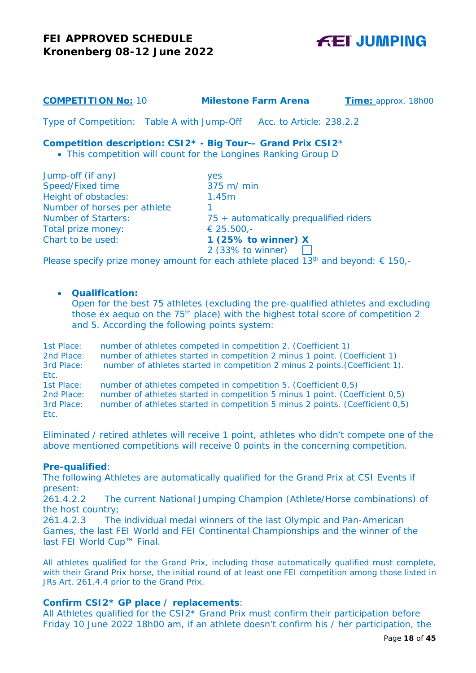# **COMPETITION No:** 10 **Milestone Farm Arena Time:** approx. 18h00

Type of Competition: Table A with Jump-Off Acc. to Article: 238.2.2

## **Competition description: CSI2\* - Big Tour – Grand Prix CSI2**\*

• This competition will count for the Longines Ranking Group D

| Jump-off (if any)            | <b>ves</b>                                                                                               |
|------------------------------|----------------------------------------------------------------------------------------------------------|
| Speed/Fixed time             | $375$ m/ min                                                                                             |
| Height of obstacles:         | 1.45m                                                                                                    |
| Number of horses per athlete |                                                                                                          |
| <b>Number of Starters:</b>   | 75 + automatically prequalified riders                                                                   |
| Total prize money:           | € 25.500,-                                                                                               |
| Chart to be used:            | 1 (25% to winner) X                                                                                      |
|                              | 2 (33% to winner)                                                                                        |
| --                           | المطفر المتحدث والمتحدث والمتحدث والمتحدث والمتحدث والمتحدث والمتحدث والمتحدث والمتحدث والمتحدث والمتحدث |

Please specify prize money amount for each athlete placed  $13<sup>th</sup>$  and beyond:  $\in$  150,-

# • **Qualification:**

Open for the best 75 athletes (excluding the pre-qualified athletes and excluding those ex aequo on the 75<sup>th</sup> place) with the highest total score of competition 2 and 5. According the following points system:

1st Place: number of athletes competed in competition 2. (Coefficient 1) 2nd Place: number of athletes started in competition 2 minus 1 point. (Coefficient 1) 3rd Place: number of athletes started in competition 2 minus 2 points.(Coefficient 1). Etc. 1st Place: number of athletes competed in competition 5. (Coefficient 0,5) 2nd Place: number of athletes started in competition 5 minus 1 point. (Coefficient 0,5) 3rd Place: number of athletes started in competition 5 minus 2 points. (Coefficient 0,5) Etc.

Eliminated / retired athletes will receive 1 point, athletes who didn't compete one of the above mentioned competitions will receive 0 points in the concerning competition.

#### **Pre-qualified**:

The following Athletes are automatically qualified for the Grand Prix at CSI Events if present:

261.4.2.2 The current National Jumping Champion (Athlete/Horse combinations) of the host country;

261.4.2.3 The individual medal winners of the last Olympic and Pan-American Games, the last FEI World and FEI Continental Championships and the winner of the last FEI World Cup™ Final.

All athletes qualified for the Grand Prix, including those automatically qualified must complete, with their Grand Prix horse, the initial round of at least one FEI competition among those listed in JRs Art. 261.4.4 prior to the Grand Prix.

## **Confirm CSI2\* GP place / replacements**:

All Athletes qualified for the CSI2\* Grand Prix must confirm their participation before Friday 10 June 2022 18h00 am, if an athlete doesn't confirm his / her participation, the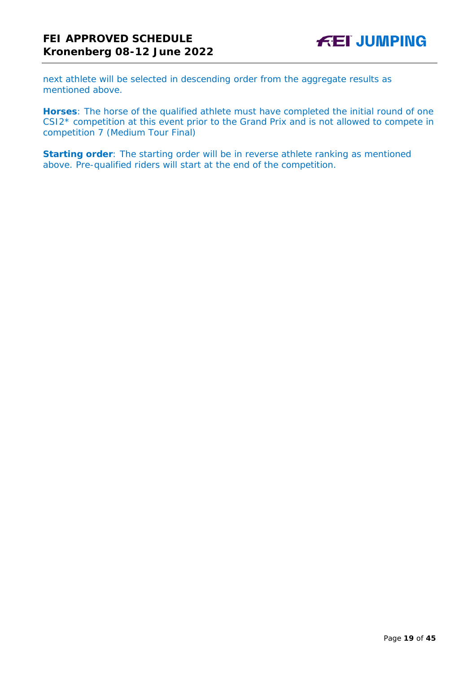next athlete will be selected in descending order from the aggregate results as mentioned above.

**Horses**: The horse of the qualified athlete must have completed the initial round of one CSI2\* competition at this event prior to the Grand Prix and is not allowed to compete in competition 7 (Medium Tour Final)

**Starting order**: The starting order will be in reverse athlete ranking as mentioned above. Pre-qualified riders will start at the end of the competition.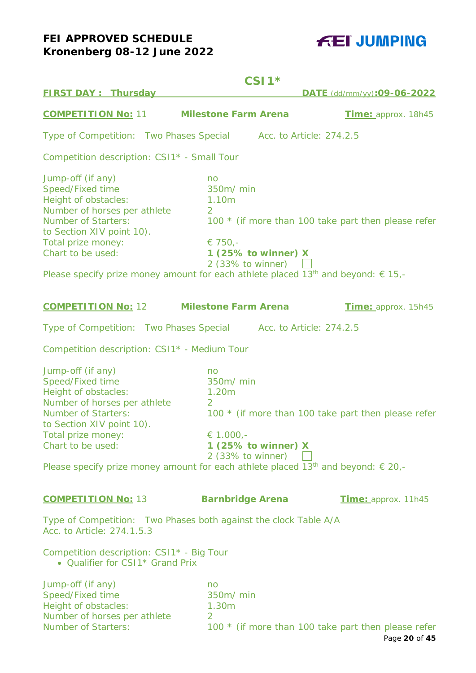# **FEI APPROVED SCHEDULE Kronenberg 08-12 June 2022**

**FEI JUMPING** 

|                                                                                                                                                                                                                                                                                                               | $CSI1*$                                                                                             |                                                     |
|---------------------------------------------------------------------------------------------------------------------------------------------------------------------------------------------------------------------------------------------------------------------------------------------------------------|-----------------------------------------------------------------------------------------------------|-----------------------------------------------------|
| <b>FIRST DAY: Thursday</b>                                                                                                                                                                                                                                                                                    |                                                                                                     | DATE (dd/mm/yy):09-06-2022                          |
| <b>COMPETITION No: 11</b>                                                                                                                                                                                                                                                                                     | <b>Milestone Farm Arena</b>                                                                         | Time: approx. 18h45                                 |
| Type of Competition: Two Phases Special                                                                                                                                                                                                                                                                       | Acc. to Article: 274.2.5                                                                            |                                                     |
| Competition description: CSI1* - Small Tour                                                                                                                                                                                                                                                                   |                                                                                                     |                                                     |
| Jump-off (if any)<br>Speed/Fixed time<br>Height of obstacles:<br>Number of horses per athlete<br><b>Number of Starters:</b><br>to Section XIV point 10).<br>Total prize money:<br>Chart to be used:<br>Please specify prize money amount for each athlete placed 13 <sup>th</sup> and beyond: $\epsilon$ 15,- | no<br>350m/ min<br>1.10m<br>$\overline{2}$<br>€ 750,-<br>1 (25% to winner) X<br>2 (33% to winner)   | 100 * (if more than 100 take part then please refer |
| <b>COMPETITION No: 12</b>                                                                                                                                                                                                                                                                                     | <b>Milestone Farm Arena</b>                                                                         | Time: approx. 15h45                                 |
| Type of Competition: Two Phases Special Acc. to Article: 274.2.5                                                                                                                                                                                                                                              |                                                                                                     |                                                     |
| Competition description: CSI1 <sup>*</sup> - Medium Tour                                                                                                                                                                                                                                                      |                                                                                                     |                                                     |
| Jump-off (if any)<br>Speed/Fixed time<br>Height of obstacles:<br>Number of horses per athlete<br><b>Number of Starters:</b><br>to Section XIV point 10).<br>Total prize money:<br>Chart to be used:<br>Please specify prize money amount for each athlete placed 13 <sup>th</sup> and beyond: $\epsilon$ 20,- | no<br>350m/ min<br>1.20m<br>$\overline{2}$<br>€ 1.000,-<br>1 (25% to winner) X<br>2 (33% to winner) | 100 * (if more than 100 take part then please refer |
| <b>COMPETITION No: 13</b>                                                                                                                                                                                                                                                                                     | <b>Barnbridge Arena</b>                                                                             | Time: approx. 11h45                                 |
| Type of Competition: Two Phases both against the clock Table A/A<br>Acc. to Article: 274.1.5.3                                                                                                                                                                                                                |                                                                                                     |                                                     |
| Competition description: CSI1* - Big Tour<br>• Qualifier for CSI1* Grand Prix                                                                                                                                                                                                                                 |                                                                                                     |                                                     |
| Jump-off (if any)<br>Speed/Fixed time<br>Height of obstacles:<br>Number of horses per athlete<br><b>Number of Starters:</b>                                                                                                                                                                                   | no<br>350m/ min<br>1.30m<br>2.                                                                      | 100 * (if more than 100 take part then please refer |

100  $*$  (if more than 100 take part then please refer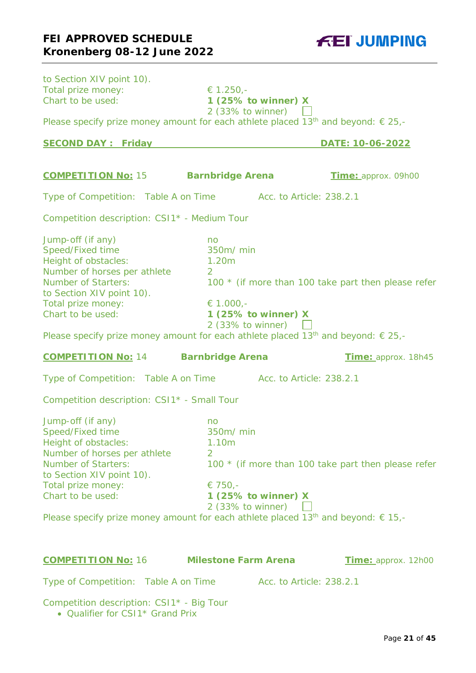to Section XIV point 10).

| Total prize money:<br>Chart to be used:                                                                                                                                                                                                                                                                       | € 1.250,-<br>1 (25% to winner) X                                                         |                                                     |
|---------------------------------------------------------------------------------------------------------------------------------------------------------------------------------------------------------------------------------------------------------------------------------------------------------------|------------------------------------------------------------------------------------------|-----------------------------------------------------|
|                                                                                                                                                                                                                                                                                                               | 2 (33% to winner) $\Box$                                                                 |                                                     |
| Please specify prize money amount for each athlete placed 13 <sup>th</sup> and beyond: $\epsilon$ 25,-                                                                                                                                                                                                        |                                                                                          |                                                     |
| <b>SECOND DAY: Friday</b>                                                                                                                                                                                                                                                                                     |                                                                                          | DATE: 10-06-2022                                    |
|                                                                                                                                                                                                                                                                                                               |                                                                                          |                                                     |
| <b>COMPETITION No: 15</b>                                                                                                                                                                                                                                                                                     | <b>Barnbridge Arena</b>                                                                  | Time: approx. 09h00                                 |
| Type of Competition: Table A on Time                                                                                                                                                                                                                                                                          |                                                                                          | Acc. to Article: 238.2.1                            |
| Competition description: CSI1* - Medium Tour                                                                                                                                                                                                                                                                  |                                                                                          |                                                     |
| Jump-off (if any)<br>Speed/Fixed time<br>Height of obstacles:<br>Number of horses per athlete<br><b>Number of Starters:</b><br>to Section XIV point 10).<br>Total prize money:<br>Chart to be used:<br>Please specify prize money amount for each athlete placed 13 <sup>th</sup> and beyond: $\epsilon$ 25,- | no<br>350m/ min<br>1.20m<br>2<br>€ 1.000,-<br>1 (25% to winner) $X$<br>2 (33% to winner) | 100 * (if more than 100 take part then please refer |
|                                                                                                                                                                                                                                                                                                               |                                                                                          |                                                     |
| <b>COMPETITION No: 14</b>                                                                                                                                                                                                                                                                                     | <b>Barnbridge Arena</b>                                                                  | Time: approx. 18h45                                 |
| Type of Competition: Table A on Time Acc. to Article: 238.2.1                                                                                                                                                                                                                                                 |                                                                                          |                                                     |
| Competition description: CSI1* - Small Tour                                                                                                                                                                                                                                                                   |                                                                                          |                                                     |
| Jump-off (if any)<br>Speed/Fixed time<br>Height of obstacles:<br>Number of horses per athlete<br><b>Number of Starters:</b><br>to Section XIV point 10).<br>Total prize money:<br>Chart to be used:<br>Please specify prize money amount for each athlete placed 13 <sup>th</sup> and beyond: $\epsilon$ 15,- | no<br>350m/ min<br>1.10m<br>2<br>€ 750,-<br>1 $(25%$ to winner) X<br>2 (33% to winner)   | 100 * (if more than 100 take part then please refer |
| <b>COMPETITION No: 16</b>                                                                                                                                                                                                                                                                                     | <b>Milestone Farm Arena</b>                                                              | Time: approx. 12h00                                 |
| Type of Competition: Table A on Time                                                                                                                                                                                                                                                                          |                                                                                          | Acc. to Article: 238.2.1                            |

• Qualifier for CSI1<sup>\*</sup> Grand Prix

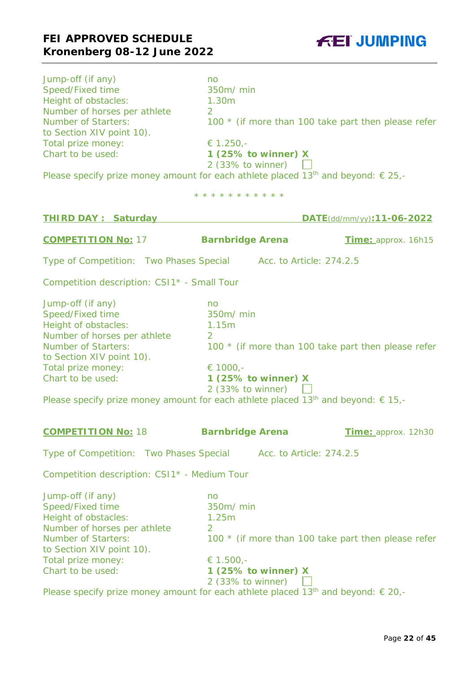

| Jump-off (if any)<br>Speed/Fixed time<br>Height of obstacles:<br>Number of horses per athlete<br><b>Number of Starters:</b><br>to Section XIV point 10).<br>Total prize money:<br>Chart to be used:<br>Please specify prize money amount for each athlete placed 13 <sup>th</sup> and beyond: € 25,-          | no<br>350m/ min<br>1.30m<br>$\overline{2}$<br>€ 1.250,-<br>1 (25% to winner) X<br>2 (33% to winner) $\Box$ | 100 * (if more than 100 take part then please refer |
|---------------------------------------------------------------------------------------------------------------------------------------------------------------------------------------------------------------------------------------------------------------------------------------------------------------|------------------------------------------------------------------------------------------------------------|-----------------------------------------------------|
|                                                                                                                                                                                                                                                                                                               | * * * * * * * * * * *                                                                                      |                                                     |
| <b>THIRD DAY: Saturday</b>                                                                                                                                                                                                                                                                                    |                                                                                                            | DATE(dd/mm/yy):11-06-2022                           |
| <b>COMPETITION No: 17</b>                                                                                                                                                                                                                                                                                     | <b>Barnbridge Arena</b>                                                                                    | Time: approx. 16h15                                 |
| Type of Competition: Two Phases Special Acc. to Article: 274.2.5                                                                                                                                                                                                                                              |                                                                                                            |                                                     |
| Competition description: CSI1* - Small Tour                                                                                                                                                                                                                                                                   |                                                                                                            |                                                     |
| Jump-off (if any)<br>Speed/Fixed time<br>Height of obstacles:<br>Number of horses per athlete<br><b>Number of Starters:</b><br>to Section XIV point 10).<br>Total prize money:<br>Chart to be used:<br>Please specify prize money amount for each athlete placed 13 <sup>th</sup> and beyond: € 15,-          | no<br>350m/ min<br>1.15m<br>$\overline{2}$<br>€ 1000,-<br>1 (25% to winner) $X$<br>$2$ (33% to winner)     | 100 * (if more than 100 take part then please refer |
| <b>COMPETITION No: 18</b>                                                                                                                                                                                                                                                                                     | <b>Barnbridge Arena</b>                                                                                    | Time: approx. 12h30                                 |
| Type of Competition: Two Phases Special Acc. to Article: 274.2.5                                                                                                                                                                                                                                              |                                                                                                            |                                                     |
| Competition description: CSI1* - Medium Tour                                                                                                                                                                                                                                                                  |                                                                                                            |                                                     |
| Jump-off (if any)<br>Speed/Fixed time<br>Height of obstacles:<br>Number of horses per athlete<br><b>Number of Starters:</b><br>to Section XIV point 10).<br>Total prize money:<br>Chart to be used:<br>Please specify prize money amount for each athlete placed 13 <sup>th</sup> and beyond: $\epsilon$ 20,- | no<br>350m/ min<br>1.25m<br>$\overline{2}$<br>€ 1.500,-<br>1 (25% to winner) X<br>2 (33% to winner)        | 100 * (if more than 100 take part then please refer |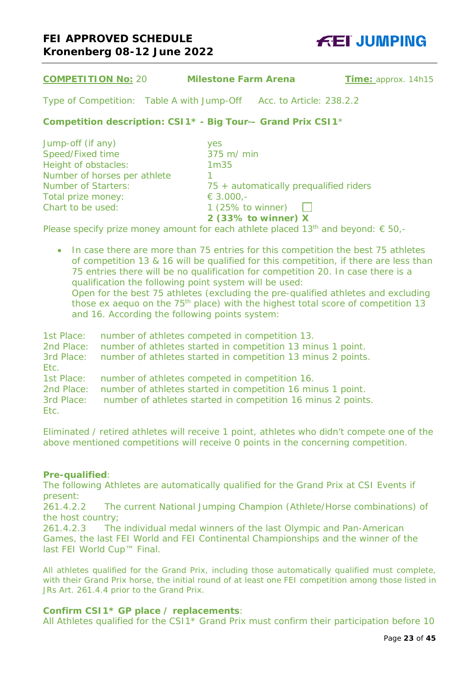

| <b>COMPETITION No: 20</b>                | <b>Milestone Farm Arena</b>                                                          | Time: approx. 14h15 |
|------------------------------------------|--------------------------------------------------------------------------------------|---------------------|
|                                          | Type of Competition: Table A with Jump-Off Acc. to Article: 238.2.2                  |                     |
|                                          | Competition description: CSI1 <sup>*</sup> - Big Tour-- Grand Prix CSI1 <sup>*</sup> |                     |
| Jump-off (if any)                        | yes                                                                                  |                     |
| Speed/Fixed time<br>Height of obstacles: | 375 m/ min<br>1 <sub>m35</sub>                                                       |                     |
| Number of horses per athlete             |                                                                                      |                     |
| <b>Number of Starters:</b>               | 75 + automatically prequalified riders                                               |                     |
| Total prize money:                       | € 3.000,-                                                                            |                     |
| Chart to be used:                        | 1 $(25\% \text{ to winner})$                                                         |                     |

Please specify prize money amount for each athlete placed 13<sup>th</sup> and beyond:  $\epsilon$  50,-

• In case there are more than 75 entries for this competition the best 75 athletes of competition 13 & 16 will be qualified for this competition, if there are less than 75 entries there will be no qualification for competition 20. In case there is a qualification the following point system will be used: Open for the best 75 athletes (excluding the pre-qualified athletes and excluding those ex aequo on the  $75<sup>th</sup>$  place) with the highest total score of competition 13 and 16. According the following points system:

**2 (33% to winner) X**

1st Place: number of athletes competed in competition 13. 2nd Place: number of athletes started in competition 13 minus 1 point. 3rd Place: number of athletes started in competition 13 minus 2 points. Etc. 1st Place: number of athletes competed in competition 16. 2nd Place: number of athletes started in competition 16 minus 1 point. 3rd Place: number of athletes started in competition 16 minus 2 points. Etc.

Eliminated / retired athletes will receive 1 point, athletes who didn't compete one of the above mentioned competitions will receive 0 points in the concerning competition.

#### **Pre-qualified**:

The following Athletes are automatically qualified for the Grand Prix at CSI Events if present:

261.4.2.2 The current National Jumping Champion (Athlete/Horse combinations) of the host country;

261.4.2.3 The individual medal winners of the last Olympic and Pan-American Games, the last FEI World and FEI Continental Championships and the winner of the last FEI World Cup™ Final.

All athletes qualified for the Grand Prix, including those automatically qualified must complete, with their Grand Prix horse, the initial round of at least one FEI competition among those listed in JRs Art. 261.4.4 prior to the Grand Prix.

## **Confirm CSI1\* GP place / replacements**:

All Athletes qualified for the CSI1\* Grand Prix must confirm their participation before 10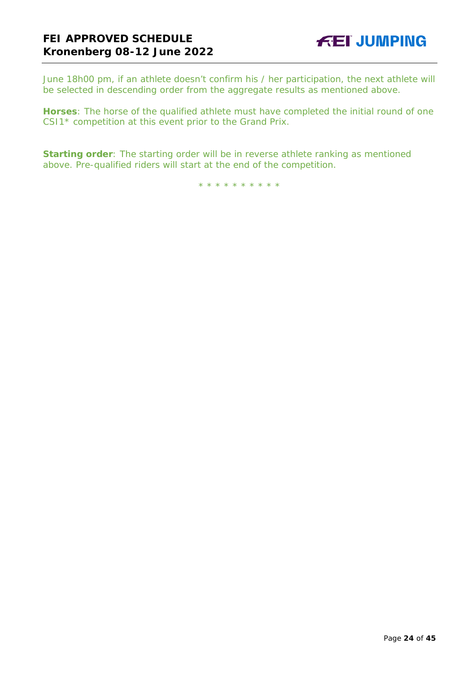June 18h00 pm, if an athlete doesn't confirm his / her participation, the next athlete will be selected in descending order from the aggregate results as mentioned above.

**Horses**: The horse of the qualified athlete must have completed the initial round of one CSI1\* competition at this event prior to the Grand Prix.

**Starting order**: The starting order will be in reverse athlete ranking as mentioned above. Pre-qualified riders will start at the end of the competition.

\* \* \* \* \* \* \* \* \* \*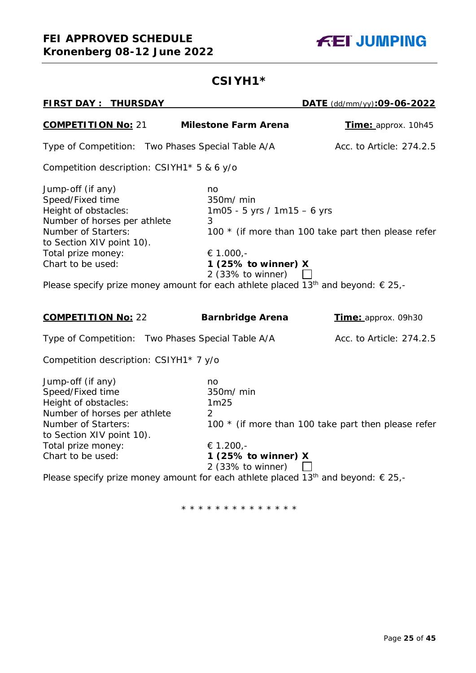

# **CSIYH1\***

| <b>FIRST DAY: THURSDAY</b>                                                                                                                                                                          |                                                                                                                                                                                                                              | DATE (dd/mm/yy):09-06-2022                          |
|-----------------------------------------------------------------------------------------------------------------------------------------------------------------------------------------------------|------------------------------------------------------------------------------------------------------------------------------------------------------------------------------------------------------------------------------|-----------------------------------------------------|
| <b>COMPETITION No: 21</b>                                                                                                                                                                           | <b>Milestone Farm Arena</b>                                                                                                                                                                                                  | <b>Time:</b> approx. 10h45                          |
| Type of Competition: Two Phases Special Table A/A                                                                                                                                                   |                                                                                                                                                                                                                              | Acc. to Article: 274.2.5                            |
| Competition description: CSIYH1* 5 & 6 y/o                                                                                                                                                          |                                                                                                                                                                                                                              |                                                     |
| Jump-off (if any)<br>Speed/Fixed time<br>Height of obstacles:<br>Number of horses per athlete<br><b>Number of Starters:</b><br>to Section XIV point 10).<br>Total prize money:<br>Chart to be used: | no<br>350m/ min<br>$1m05 - 5$ yrs / $1m15 - 6$ yrs<br>3<br>€ 1.000,-<br>1 (25% to winner) $X$<br>2 (33% to winner)<br>Please specify prize money amount for each athlete placed 13 <sup>th</sup> and beyond: $\epsilon$ 25,- | 100 * (if more than 100 take part then please refer |
| <b>COMPETITION No: 22</b>                                                                                                                                                                           | <b>Barnbridge Arena</b>                                                                                                                                                                                                      | Time: approx. 09h30                                 |
| Type of Competition: Two Phases Special Table A/A                                                                                                                                                   |                                                                                                                                                                                                                              | Acc. to Article: 274.2.5                            |
| Competition description: CSIYH1* 7 y/o                                                                                                                                                              |                                                                                                                                                                                                                              |                                                     |
| Jump-off (if any)<br>Speed/Fixed time<br>Height of obstacles:<br>Number of horses per athlete<br><b>Number of Starters:</b><br>to Section XIV point 10).<br>Total prize money:<br>Chart to be used: | no<br>350m/ min<br>1m25<br>2<br>€ 1.200,-<br>1 (25% to winner) X<br>$2$ (33% to winner)                                                                                                                                      | 100 * (if more than 100 take part then please refer |
|                                                                                                                                                                                                     | Please specify prize money amount for each athlete placed 13 <sup>th</sup> and beyond: $\epsilon$ 25,-                                                                                                                       |                                                     |

\* \* \* \* \* \* \* \* \* \* \* \* \* \*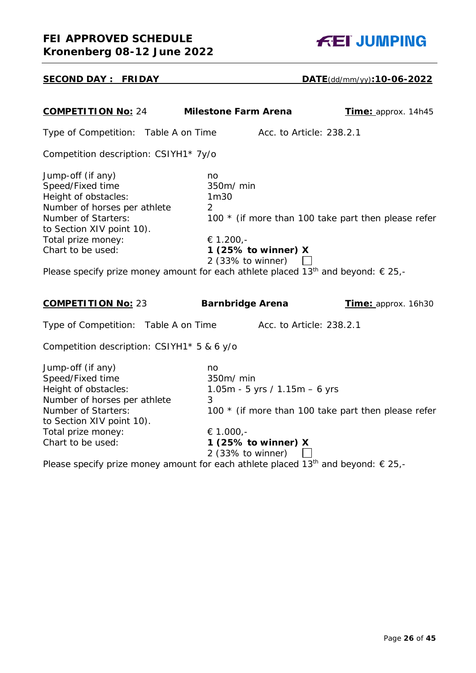| <b>COMPETITION No: 24</b>                                                                                                                                                                                                                                                                              | <b>Milestone Farm Arena</b>                                                                            | Time: approx. 14h45                                 |
|--------------------------------------------------------------------------------------------------------------------------------------------------------------------------------------------------------------------------------------------------------------------------------------------------------|--------------------------------------------------------------------------------------------------------|-----------------------------------------------------|
| Type of Competition: Table A on Time                                                                                                                                                                                                                                                                   | Acc. to Article: 238.2.1                                                                               |                                                     |
| Competition description: CSIYH1* 7y/o                                                                                                                                                                                                                                                                  |                                                                                                        |                                                     |
| Jump-off (if any)<br>Speed/Fixed time<br>Height of obstacles:<br>Number of horses per athlete<br>Number of Starters:<br>to Section XIV point 10).<br>Total prize money:<br>Chart to be used:<br>Please specify prize money amount for each athlete placed 13 <sup>th</sup> and beyond: $\epsilon$ 25,- | no<br>350m/ min<br>1m30<br>$\overline{2}$<br>€ 1.200,-<br>1 (25% to winner) $X$<br>$2$ (33% to winner) | 100 * (if more than 100 take part then please refer |
| <b>COMPETITION No: 23</b>                                                                                                                                                                                                                                                                              | <b>Barnbridge Arena</b>                                                                                | Time: approx. 16h30                                 |
| Type of Competition: Table A on Time                                                                                                                                                                                                                                                                   | Acc. to Article: 238.2.1                                                                               |                                                     |
| Competition description: CSIYH1* 5 & 6 y/o                                                                                                                                                                                                                                                             |                                                                                                        |                                                     |
| Jump-off (if any)<br>Speed/Fixed time<br>Height of obstacles:<br>Number of horses per athlete<br><b>Number of Starters:</b><br>to Section XIV point 10).<br>Total prize money:<br>Chart to be used:                                                                                                    | no<br>350m/ min<br>1.05m - 5 yrs / 1.15m - 6 yrs<br>3<br>€ 1.000,-<br>1 (25% to winner) X              | 100 * (if more than 100 take part then please refer |

Please specify prize money amount for each athlete placed 13<sup>th</sup> and beyond:  $\epsilon$  25,-



# **SECOND DAY : FRIDAY DATE**(dd/mm/yy)**:10-06-2022**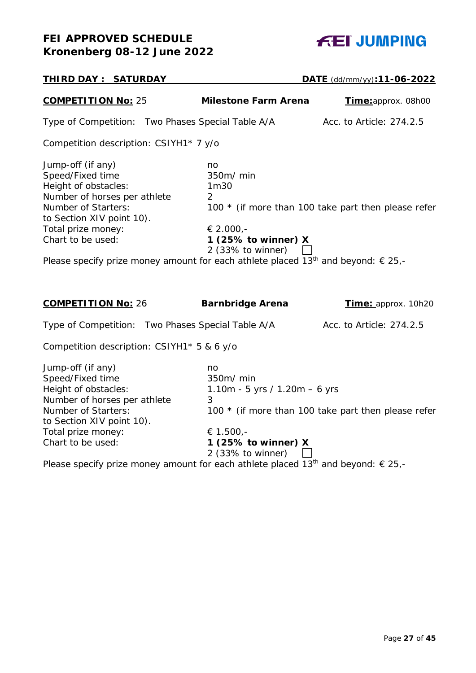# **FEI APPROVED SCHEDULE Kronenberg 08-12 June 2022**



| <b>THIRD DAY: SATURDAY</b>                                                                                                                                                                                                                                                                                    |                                                                                                                  | DATE (dd/mm/yy):11-06-2022                          |
|---------------------------------------------------------------------------------------------------------------------------------------------------------------------------------------------------------------------------------------------------------------------------------------------------------------|------------------------------------------------------------------------------------------------------------------|-----------------------------------------------------|
| <b>COMPETITION No: 25</b>                                                                                                                                                                                                                                                                                     | <b>Milestone Farm Arena</b>                                                                                      | Time:approx. 08h00                                  |
| Type of Competition: Two Phases Special Table A/A                                                                                                                                                                                                                                                             |                                                                                                                  | Acc. to Article: 274.2.5                            |
| Competition description: CSIYH1* 7 y/o                                                                                                                                                                                                                                                                        |                                                                                                                  |                                                     |
| Jump-off (if any)<br>Speed/Fixed time<br>Height of obstacles:<br>Number of horses per athlete<br><b>Number of Starters:</b><br>to Section XIV point 10).<br>Total prize money:<br>Chart to be used:<br>Please specify prize money amount for each athlete placed 13 <sup>th</sup> and beyond: $\epsilon$ 25,- | no<br>350m/ min<br>1m30<br>2<br>€ 2.000,-<br>1 (25% to winner) $X$<br>2 (33% to winner)                          | 100 * (if more than 100 take part then please refer |
| <b>COMPETITION No: 26</b>                                                                                                                                                                                                                                                                                     | <b>Barnbridge Arena</b>                                                                                          | Time: approx. 10h20                                 |
| Type of Competition: Two Phases Special Table A/A                                                                                                                                                                                                                                                             |                                                                                                                  | Acc. to Article: 274.2.5                            |
| Competition description: CSIYH1* 5 & 6 y/o                                                                                                                                                                                                                                                                    |                                                                                                                  |                                                     |
| Jump-off (if any)<br>Speed/Fixed time<br>Height of obstacles:<br>Number of horses per athlete<br><b>Number of Starters:</b><br>to Section XIV point 10).<br>Total prize money:<br>Chart to be used:                                                                                                           | no<br>350m/ min<br>1.10m - 5 yrs / 1.20m - 6 yrs<br>3<br>€ 1.500,-<br>1 (25% to winner) $X$<br>2 (33% to winner) | 100 * (if more than 100 take part then please refer |

Please specify prize money amount for each athlete placed 13<sup>th</sup> and beyond:  $\epsilon$  25,-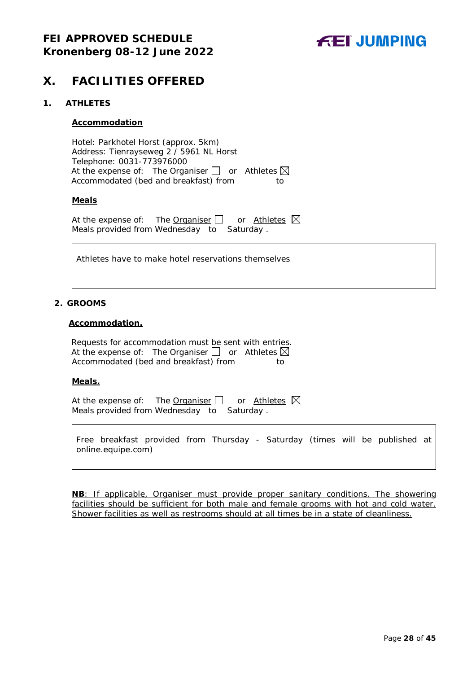

# <span id="page-27-0"></span>**X. FACILITIES OFFERED**

#### <span id="page-27-1"></span>**1. ATHLETES**

#### **Accommodation**

Hotel: Parkhotel Horst (approx. 5km) Address: Tienrayseweg 2 / 5961 NL Horst Telephone: 0031-773976000 At the expense of: The Organiser  $\Box$  or Athletes  $\boxtimes$ Accommodated (bed and breakfast) from to

#### **Meals**

At the expense of: The Organiser  $\Box$  or Athletes  $\boxtimes$ Meals provided from Wednesday to Saturday .

Athletes have to make hotel reservations themselves

#### <span id="page-27-2"></span>**2. GROOMS**

#### **Accommodation.**

Requests for accommodation must be sent with entries. At the expense of: The Organiser  $\Box$  or Athletes  $\boxtimes$ Accommodated (bed and breakfast) from to

#### **Meals.**

At the expense of: The Organiser  $\Box$  or Athletes  $\boxtimes$ Meals provided from Wednesday to Saturday .

Free breakfast provided from Thursday - Saturday (times will be published at online.equipe.com)

**NB**: If applicable, Organiser must provide proper sanitary conditions. The showering facilities should be sufficient for both male and female grooms with hot and cold water. Shower facilities as well as restrooms should at all times be in a state of cleanliness.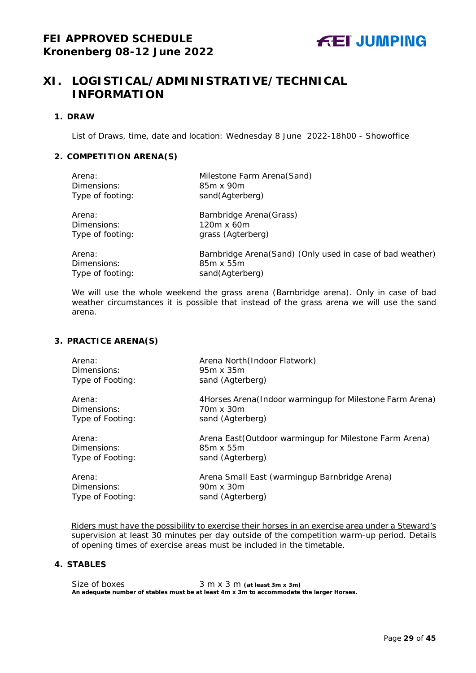# <span id="page-28-0"></span>**XI. LOGISTICAL/ADMINISTRATIVE/TECHNICAL INFORMATION**

#### <span id="page-28-1"></span>**1. DRAW**

List of Draws, time, date and location: Wednesday 8 June 2022-18h00 - Showoffice

## <span id="page-28-2"></span>**2. COMPETITION ARENA(S)**

| Arena:           | Milestone Farm Arena(Sand)                                |
|------------------|-----------------------------------------------------------|
| Dimensions:      | 85m x 90m                                                 |
| Type of footing: | sand(Agterberg)                                           |
| Arena:           | Barnbridge Arena (Grass)                                  |
| Dimensions:      | 120m x 60m                                                |
| Type of footing: | grass (Agterberg)                                         |
| Arena:           | Barnbridge Arena(Sand) (Only used in case of bad weather) |
| Dimensions:      | 85m x 55m                                                 |
| Type of footing: | sand(Agterberg)                                           |

*We will use the whole weekend the grass arena (Barnbridge arena). Only in case of bad weather circumstances it is possible that instead of the grass arena we will use the sand arena.* 

## <span id="page-28-3"></span>**3. PRACTICE ARENA(S)**

| Arena:           | Arena North (Indoor Flatwork)                             |
|------------------|-----------------------------------------------------------|
| Dimensions:      | 95m x 35m                                                 |
| Type of Footing: | sand (Agterberg)                                          |
| Arena:           | 4Horses Arena (Indoor warmingup for Milestone Farm Arena) |
| Dimensions:      | 70m x 30m                                                 |
| Type of Footing: | sand (Agterberg)                                          |
| Arena:           | Arena East (Outdoor warmingup for Milestone Farm Arena)   |
| Dimensions:      | 85m x 55m                                                 |
| Type of Footing: | sand (Agterberg)                                          |
| Arena:           | Arena Small East (warmingup Barnbridge Arena)             |
| Dimensions:      | 90m x 30m                                                 |
| Type of Footing: | sand (Agterberg)                                          |

Riders must have the possibility to exercise their horses in an exercise area under a Steward's supervision at least 30 minutes per day outside of the competition warm-up period. Details of opening times of exercise areas must be included in the timetable.

## <span id="page-28-4"></span>**4. STABLES**

Size of boxes 3 m x 3 m (at least 3m x 3m) **An adequate number of stables must be at least 4m x 3m to accommodate the larger Horses.**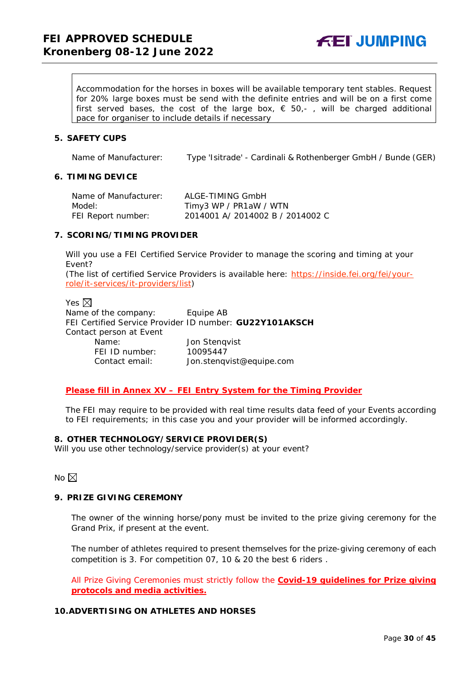**FEI JUMPING** 

Accommodation for the horses in boxes will be available temporary tent stables. Request for 20% large boxes must be send with the definite entries and will be on a first come first served bases, the cost of the large box,  $\epsilon$  50,-, will be charged additional pace for organiser to include details if necessary

#### <span id="page-29-0"></span>**5. SAFETY CUPS**

Name of Manufacturer: Type 'Isitrade' - Cardinali & Rothenberger GmbH / Bunde (GER)

#### <span id="page-29-1"></span>**6. TIMING DEVICE**

| Name of Manufacturer: | ALGE-TIMING GmbH                 |
|-----------------------|----------------------------------|
| Model:                | Timy3 WP / PR1aW / WTN           |
| FEI Report number:    | 2014001 A/ 2014002 B / 2014002 C |

#### <span id="page-29-2"></span>**7. SCORING/TIMING PROVIDER**

Will you use a FEI Certified Service Provider to manage the scoring and timing at your Event?

*(The list of certified Service Providers is available here:* [https://inside.fei.org/fei/your](https://inside.fei.org/fei/your-role/it-services/it-providers/list)[role/it-services/it-providers/list](https://inside.fei.org/fei/your-role/it-services/it-providers/list)*)*

Yes  $\boxtimes$ Name of the company: Equipe AB FEI Certified Service Provider ID number: **GU22Y101AKSCH** Contact person at Event Name: Jon Stenqvist FEI ID number: 10095447 Contact email: *Jon.stenqvist@equipe.com* 

#### *Please fill in Annex XV – FEI Entry System for the Timing Provider*

The FEI may require to be provided with real time results data feed of your Events according to FEI requirements; in this case you and your provider will be informed accordingly.

#### <span id="page-29-3"></span>**8. OTHER TECHNOLOGY/SERVICE PROVIDER(S)**

Will you use other technology/service provider(s) at your event?

No  $\boxtimes$ 

#### <span id="page-29-4"></span>**9. PRIZE GIVING CEREMONY**

The owner of the winning horse/pony must be invited to the prize giving ceremony for the Grand Prix, if present at the event.

The number of athletes required to present themselves for the prize-giving ceremony of each competition is 3. For competition 07, 10 & 20 the best 6 riders .

All Prize Giving Ceremonies must strictly follow the **Covid-19 guidelines for Prize giving protocols and media activities.**

## <span id="page-29-5"></span>**10.ADVERTISING ON ATHLETES AND HORSES**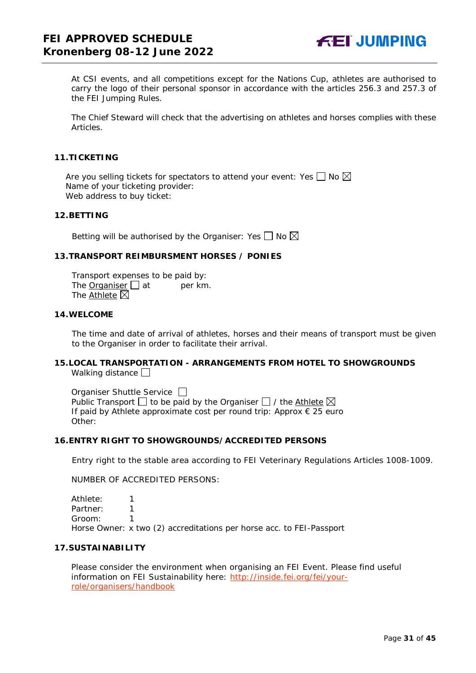

At CSI events, and all competitions except for the Nations Cup, athletes are authorised to carry the logo of their personal sponsor in accordance with the articles 256.3 and 257.3 of the FEI Jumping Rules.

The Chief Steward will check that the advertising on athletes and horses complies with these Articles.

#### <span id="page-30-0"></span>**11.TICKETING**

Are you selling tickets for spectators to attend your event: Yes  $\Box$  No  $\boxtimes$ Name of your ticketing provider: Web address to buy ticket:

### <span id="page-30-1"></span>**12.BETTING**

Betting will be authorised by the Organiser: Yes  $\Box$  No  $\boxtimes$ 

#### <span id="page-30-2"></span>**13.TRANSPORT REIMBURSMENT HORSES / PONIES**

Transport expenses to be paid by: The Organiser  $\Box$  at per km. The Athlete  $\boxtimes$ 

#### <span id="page-30-3"></span>**14.WELCOME**

The time and date of arrival of athletes, horses and their means of transport must be given to the Organiser in order to facilitate their arrival.

#### <span id="page-30-4"></span>**15.LOCAL TRANSPORTATION - ARRANGEMENTS FROM HOTEL TO SHOWGROUNDS** Walking distance

Organiser Shuttle Service  $\Box$ Public Transport  $\Box$  to be paid by the Organiser  $\Box$  / the Athlete  $\boxtimes$ If paid by Athlete approximate cost per round trip: Approx € 25 euro Other:

#### <span id="page-30-5"></span>**16.ENTRY RIGHT TO SHOWGROUNDS/ACCREDITED PERSONS**

Entry right to the stable area according to FEI Veterinary Regulations Articles 1008-1009.

NUMBER OF ACCREDITED PERSONS:

Athlete: 1 Partner: 1 Groom: 1 Horse Owner: x two (2) accreditations per horse acc. to FEI-Passport

#### <span id="page-30-6"></span>**17.SUSTAINABILITY**

Please consider the environment when organising an FEI Event. Please find useful information on FEI Sustainability here: [http://inside.fei.org/fei/your](http://inside.fei.org/fei/your-role/organisers/handbook)[role/organisers/handbook](http://inside.fei.org/fei/your-role/organisers/handbook)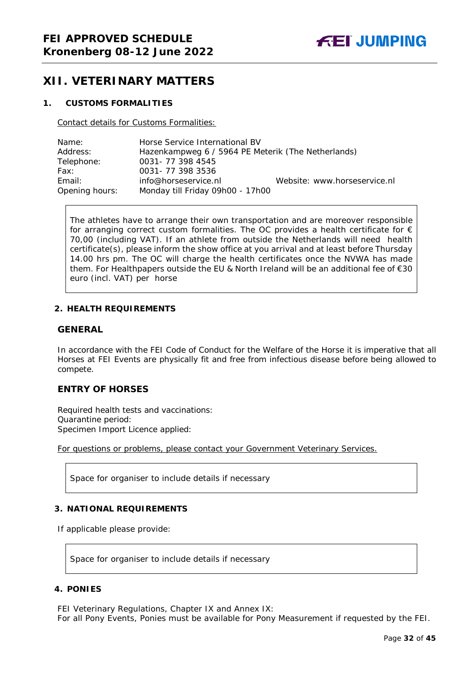# <span id="page-31-0"></span>**XII. VETERINARY MATTERS**

#### <span id="page-31-1"></span>**1. CUSTOMS FORMALITIES**

Contact details for Customs Formalities:

| Name:          | Horse Service International BV                     |                              |
|----------------|----------------------------------------------------|------------------------------|
| Address:       | Hazenkampweg 6 / 5964 PE Meterik (The Netherlands) |                              |
| Telephone:     | 0031-77 398 4545                                   |                              |
| Fax:           | 0031-773983536                                     |                              |
| Email:         | info@horseservice.nl                               | Website: www.horseservice.nl |
| Opening hours: | Monday till Friday 09h00 - 17h00                   |                              |

The athletes have to arrange their own transportation and are moreover responsible for arranging correct custom formalities. The OC provides a health certificate for  $\epsilon$ 70,00 (including VAT). If an athlete from outside the Netherlands will need health certificate(s), please inform the show office at you arrival and at least before Thursday 14.00 hrs pm. The OC will charge the health certificates once the NVWA has made them. For Healthpapers outside the EU & North Ireland will be an additional fee of €30 euro (incl. VAT) per horse

#### <span id="page-31-2"></span>**2. HEALTH REQUIREMENTS**

## **GENERAL**

In accordance with the FEI Code of Conduct for the Welfare of the Horse it is imperative that all Horses at FEI Events are physically fit and free from infectious disease before being allowed to compete.

## **ENTRY OF HORSES**

Required health tests and vaccinations: Quarantine period: Specimen Import Licence applied:

For questions or problems, please contact your Government Veterinary Services.

Space for organiser to include details if necessary

#### <span id="page-31-3"></span>**3. NATIONAL REQUIREMENTS**

If applicable please provide:

Space for organiser to include details if necessary

#### <span id="page-31-4"></span>**4. PONIES**

FEI Veterinary Regulations, Chapter IX and Annex IX: For all Pony Events, Ponies must be available for Pony Measurement if requested by the FEI.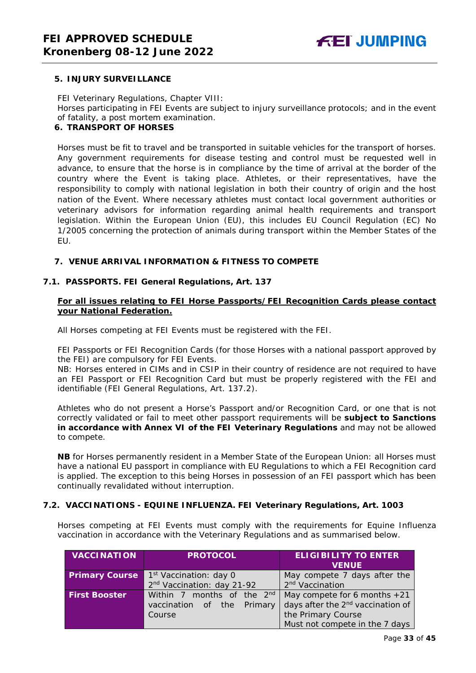#### <span id="page-32-0"></span>**5. INJURY SURVEILLANCE**

FEI Veterinary Regulations, Chapter VIII: Horses participating in FEI Events are subject to injury surveillance protocols; and in the event of fatality, a post mortem examination.

#### <span id="page-32-1"></span>**6. TRANSPORT OF HORSES**

Horses must be fit to travel and be transported in suitable vehicles for the transport of horses. Any government requirements for disease testing and control must be requested well in advance, to ensure that the horse is in compliance by the time of arrival at the border of the country where the Event is taking place. Athletes, or their representatives, have the responsibility to comply with national legislation in both their country of origin and the host nation of the Event. Where necessary athletes must contact local government authorities or veterinary advisors for information regarding animal health requirements and transport legislation. Within the European Union (EU), this includes EU Council Regulation (EC) No 1/2005 concerning the protection of animals during transport within the Member States of the EU.

#### <span id="page-32-2"></span>**7. VENUE ARRIVAL INFORMATION & FITNESS TO COMPETE**

#### **7.1. PASSPORTS. FEI General Regulations, Art. 137**

### **For all issues relating to FEI Horse Passports/FEI Recognition Cards please contact your National Federation.**

All Horses competing at FEI Events must be registered with the FEI.

FEI Passports or FEI Recognition Cards (for those Horses with a national passport approved by the FEI) are compulsory for FEI Events.

NB: Horses entered in CIMs and in CSIP in their country of residence are not required to have an FEI Passport or FEI Recognition Card but must be properly registered with the FEI and identifiable (FEI General Regulations, Art. 137.2).

Athletes who do not present a Horse's Passport and/or Recognition Card, or one that is not correctly validated or fail to meet other passport requirements will be **subject to Sanctions in accordance with Annex VI of the FEI Veterinary Regulations** and may not be allowed to compete.

**NB** for Horses permanently resident in a Member State of the European Union: all Horses must have a national EU passport in compliance with EU Regulations to which a FEI Recognition card is applied. The exception to this being Horses in possession of an FEI passport which has been continually revalidated without interruption.

## **7.2. VACCINATIONS - EQUINE INFLUENZA. FEI Veterinary Regulations, Art. 1003**

Horses competing at FEI Events must comply with the requirements for Equine Influenza vaccination in accordance with the Veterinary Regulations and as summarised below.

| <b>VACCINATION</b>    | <b>PROTOCOL</b>                        | <b>ELIGIBILITY TO ENTER</b><br><b>VENUE</b>   |  |  |
|-----------------------|----------------------------------------|-----------------------------------------------|--|--|
| <b>Primary Course</b> | 1 <sup>st</sup> Vaccination: day 0     | May compete 7 days after the                  |  |  |
|                       | 2 <sup>nd</sup> Vaccination: day 21-92 | 2 <sup>nd</sup> Vaccination                   |  |  |
| <b>First Booster</b>  | Within 7 months of the 2 <sup>nd</sup> | May compete for 6 months $+21$                |  |  |
|                       | vaccination of the Primary             | days after the 2 <sup>nd</sup> vaccination of |  |  |
|                       | Course                                 | the Primary Course                            |  |  |
|                       |                                        | Must not compete in the 7 days                |  |  |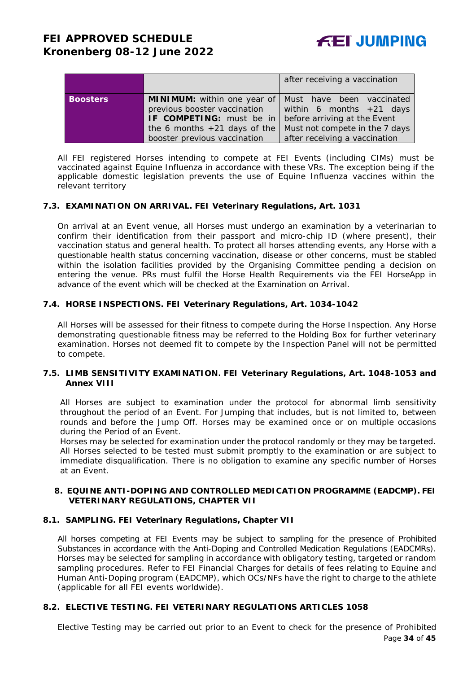|                 |                                                                | after receiving a vaccination  |
|-----------------|----------------------------------------------------------------|--------------------------------|
| <b>Boosters</b> | <b>MINIMUM:</b> within one year of   Must have been vaccinated |                                |
|                 | previous booster vaccination                                   | within 6 months $+21$ days     |
|                 | IF COMPETING: must be in                                       | before arriving at the Event   |
|                 | the 6 months $+21$ days of the                                 | Must not compete in the 7 days |
|                 | booster previous vaccination                                   | after receiving a vaccination  |

All FEI registered Horses intending to compete at FEI Events (including CIMs) must be vaccinated against Equine Influenza in accordance with these VRs. The exception being if the applicable domestic legislation prevents the use of Equine Influenza vaccines within the relevant territory

#### **7.3. EXAMINATION ON ARRIVAL. FEI Veterinary Regulations, Art. 1031**

On arrival at an Event venue, all Horses must undergo an examination by a veterinarian to confirm their identification from their passport and micro-chip ID (where present), their vaccination status and general health. To protect all horses attending events, any Horse with a questionable health status concerning vaccination, disease or other concerns, must be stabled within the isolation facilities provided by the Organising Committee pending a decision on entering the venue. PRs must fulfil the Horse Health Requirements via the FEI HorseApp in advance of the event which will be checked at the Examination on Arrival.

#### **7.4. HORSE INSPECTIONS. FEI Veterinary Regulations, Art. 1034-1042**

All Horses will be assessed for their fitness to compete during the Horse Inspection. Any Horse demonstrating questionable fitness may be referred to the Holding Box for further veterinary examination. Horses not deemed fit to compete by the Inspection Panel will not be permitted to compete.

#### **7.5. LIMB SENSITIVITY EXAMINATION. FEI Veterinary Regulations, Art. 1048-1053 and Annex VIII**

All Horses are subject to examination under the protocol for abnormal limb sensitivity throughout the period of an Event. For Jumping that includes, but is not limited to, between rounds and before the Jump Off. Horses may be examined once or on multiple occasions during the Period of an Event.

Horses may be selected for examination under the protocol randomly or they may be targeted. All Horses selected to be tested must submit promptly to the examination or are subject to immediate disqualification. There is no obligation to examine any specific number of Horses at an Event.

#### <span id="page-33-0"></span>**8. EQUINE ANTI-DOPING AND CONTROLLED MEDICATION PROGRAMME (EADCMP). FEI VETERINARY REGULATIONS, CHAPTER VII**

#### **8.1. SAMPLING. FEI Veterinary Regulations, Chapter VII**

All horses competing at FEI Events may be subject to sampling for the presence of Prohibited Substances in accordance with the Anti-Doping and Controlled Medication Regulations (EADCMRs). Horses may be selected for sampling in accordance with obligatory testing, targeted or random sampling procedures. Refer to FEI Financial Charges for details of fees relating to Equine and Human Anti-Doping program (EADCMP), which OCs/NFs have the right to charge to the athlete (applicable for all FEI events worldwide).

#### **8.2. ELECTIVE TESTING. FEI VETERINARY REGULATIONS ARTICLES 1058**

Elective Testing may be carried out prior to an Event to check for the presence of Prohibited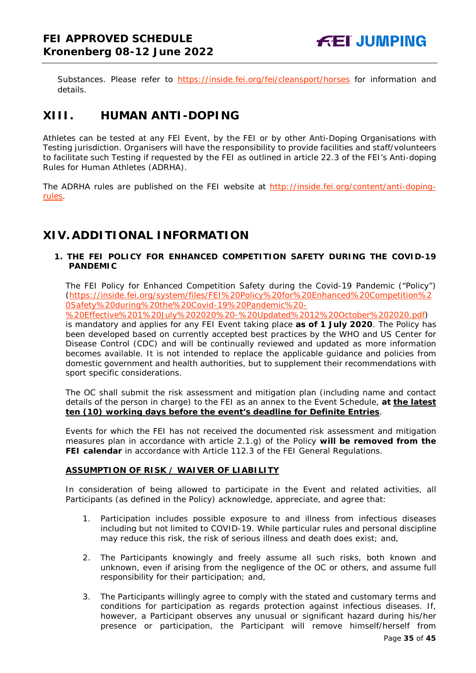Substances. Please refer to <https://inside.fei.org/fei/cleansport/horses> for information and details.

# <span id="page-34-0"></span>**XIII. HUMAN ANTI-DOPING**

Athletes can be tested at any FEI Event, by the FEI or by other Anti-Doping Organisations with Testing jurisdiction. Organisers will have the responsibility to provide facilities and staff/volunteers to facilitate such Testing if requested by the FEI as outlined in article 22.3 of the FEI's Anti-doping Rules for Human Athletes (ADRHA).

The ADRHA rules are published on the FEI website at [http://inside.fei.org/content/anti-doping](http://inside.fei.org/content/anti-doping-rules)[rules.](http://inside.fei.org/content/anti-doping-rules)

# <span id="page-34-1"></span>**XIV. ADDITIONAL INFORMATION**

## <span id="page-34-2"></span>**1. THE FEI POLICY FOR ENHANCED COMPETITION SAFETY DURING THE COVID-19 PANDEMIC**

The FEI Policy for Enhanced Competition Safety during the Covid-19 Pandemic ("Policy") (https://inside.fei.org/system/files/FEI%20Policy%20for%20Enhanced%20Competition%2 0Safety%20during%20the%20Covid-19%20Pandemic%20-

%20Effective%201%20July%202020%20-%20Updated%2012%20October%202020.pdf)

is mandatory and applies for any FEI Event taking place **as of 1 July 2020**. The Policy has been developed based on currently accepted best practices by the WHO and US Center for Disease Control (CDC) and will be continually reviewed and updated as more information becomes available. It is not intended to replace the applicable guidance and policies from domestic government and health authorities, but to supplement their recommendations with sport specific considerations.

The OC shall submit the risk assessment and mitigation plan (including name and contact details of the person in charge) to the FEI as an annex to the Event Schedule, **at the latest ten (10) working days before the event's deadline for Definite Entries**.

Events for which the FEI has not received the documented risk assessment and mitigation measures plan in accordance with article 2.1.g) of the Policy **will be removed from the FEI calendar** in accordance with Article 112.3 of the FEI General Regulations.

## **ASSUMPTION OF RISK / WAIVER OF LIABILITY**

In consideration of being allowed to participate in the Event and related activities, all Participants (as defined in the Policy) acknowledge, appreciate, and agree that:

- 1. Participation includes possible exposure to and illness from infectious diseases including but not limited to COVID-19. While particular rules and personal discipline may reduce this risk, the risk of serious illness and death does exist; and,
- 2. The Participants knowingly and freely assume all such risks, both known and unknown, even if arising from the negligence of the OC or others, and assume full responsibility for their participation; and,
- 3. The Participants willingly agree to comply with the stated and customary terms and conditions for participation as regards protection against infectious diseases. If, however, a Participant observes any unusual or significant hazard during his/her presence or participation, the Participant will remove himself/herself from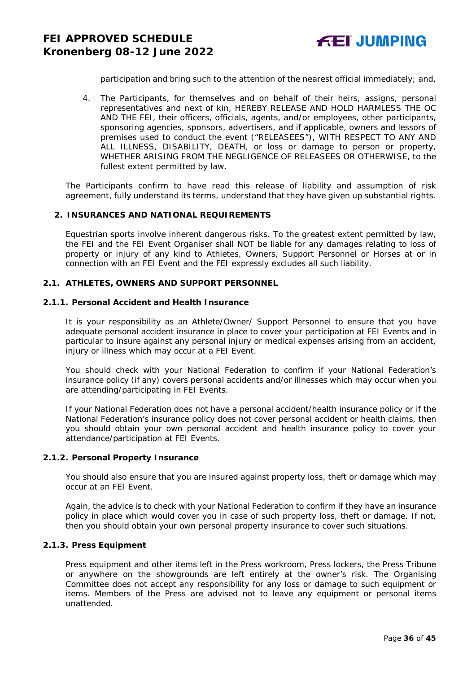participation and bring such to the attention of the nearest official immediately; and,

4. The Participants, for themselves and on behalf of their heirs, assigns, personal representatives and next of kin, HEREBY RELEASE AND HOLD HARMLESS THE OC AND THE FEI, their officers, officials, agents, and/or employees, other participants, sponsoring agencies, sponsors, advertisers, and if applicable, owners and lessors of premises used to conduct the event ("RELEASEES"), WITH RESPECT TO ANY AND ALL ILLNESS, DISABILITY, DEATH, or loss or damage to person or property, WHETHER ARISING FROM THE NEGLIGENCE OF RELEASEES OR OTHERWISE, to the fullest extent permitted by law.

The Participants confirm to have read this release of liability and assumption of risk agreement, fully understand its terms, understand that they have given up substantial rights.

#### <span id="page-35-0"></span>**2. INSURANCES AND NATIONAL REQUIREMENTS**

Equestrian sports involve inherent dangerous risks. To the greatest extent permitted by law, the FEI and the FEI Event Organiser shall NOT be liable for any damages relating to loss of property or injury of any kind to Athletes, Owners, Support Personnel or Horses at or in connection with an FEI Event and the FEI expressly excludes all such liability.

#### **2.1. ATHLETES, OWNERS AND SUPPORT PERSONNEL**

#### **2.1.1. Personal Accident and Health Insurance**

It is your responsibility as an Athlete/Owner/ Support Personnel to ensure that you have adequate personal accident insurance in place to cover your participation at FEI Events and in particular to insure against any personal injury or medical expenses arising from an accident, injury or illness which may occur at a FEI Event.

You should check with your National Federation to confirm if your National Federation's insurance policy (if any) covers personal accidents and/or illnesses which may occur when you are attending/participating in FEI Events.

If your National Federation does not have a personal accident/health insurance policy or if the National Federation's insurance policy does not cover personal accident or health claims, then you should obtain your own personal accident and health insurance policy to cover your attendance/participation at FEI Events.

#### **2.1.2. Personal Property Insurance**

You should also ensure that you are insured against property loss, theft or damage which may occur at an FEI Event.

Again, the advice is to check with your National Federation to confirm if they have an insurance policy in place which would cover you in case of such property loss, theft or damage. If not, then you should obtain your own personal property insurance to cover such situations.

#### **2.1.3. Press Equipment**

Press equipment and other items left in the Press workroom, Press lockers, the Press Tribune or anywhere on the showgrounds are left entirely at the owner's risk. The Organising Committee does not accept any responsibility for any loss or damage to such equipment or items. Members of the Press are advised not to leave any equipment or personal items unattended.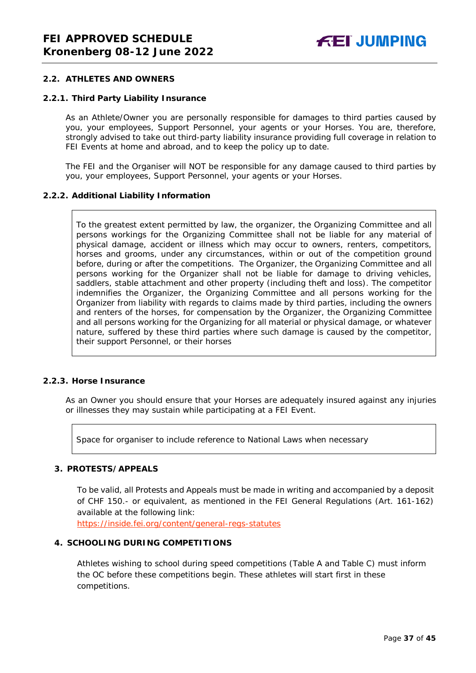#### **2.2. ATHLETES AND OWNERS**

#### **2.2.1. Third Party Liability Insurance**

As an Athlete/Owner you are personally responsible for damages to third parties caused by you, your employees, Support Personnel, your agents or your Horses. You are, therefore, strongly advised to take out third-party liability insurance providing full coverage in relation to FEI Events at home and abroad, and to keep the policy up to date.

The FEI and the Organiser will NOT be responsible for any damage caused to third parties by you, your employees, Support Personnel, your agents or your Horses.

#### **2.2.2. Additional Liability Information**

To the greatest extent permitted by law, the organizer, the Organizing Committee and all persons workings for the Organizing Committee shall not be liable for any material of physical damage, accident or illness which may occur to owners, renters, competitors, horses and grooms, under any circumstances, within or out of the competition ground before, during or after the competitions. The Organizer, the Organizing Committee and all persons working for the Organizer shall not be liable for damage to driving vehicles, saddlers, stable attachment and other property (including theft and loss). The competitor indemnifies the Organizer, the Organizing Committee and all persons working for the Organizer from liability with regards to claims made by third parties, including the owners and renters of the horses, for compensation by the Organizer, the Organizing Committee and all persons working for the Organizing for all material or physical damage, or whatever nature, suffered by these third parties where such damage is caused by the competitor, their support Personnel, or their horses

#### **2.2.3. Horse Insurance**

As an Owner you should ensure that your Horses are adequately insured against any injuries or illnesses they may sustain while participating at a FEI Event.

Space for organiser to include reference to National Laws when necessary

#### <span id="page-36-0"></span>**3. PROTESTS/APPEALS**

To be valid, all Protests and Appeals must be made in writing and accompanied by a deposit of CHF 150.- or equivalent, as mentioned in the FEI General Regulations (Art. 161-162) available at the following link:

<https://inside.fei.org/content/general-regs-statutes>

## <span id="page-36-1"></span>**4. SCHOOLING DURING COMPETITIONS**

Athletes wishing to school during speed competitions (Table A and Table C) must inform the OC before these competitions begin. These athletes will start first in these competitions.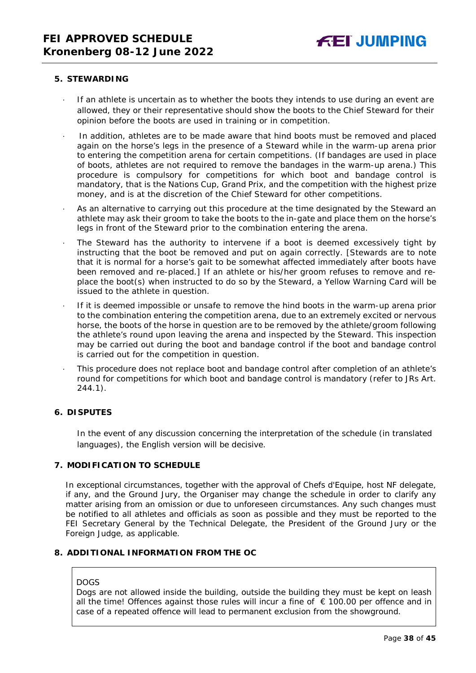#### <span id="page-37-0"></span>**5. STEWARDING**

- If an athlete is uncertain as to whether the boots they intends to use during an event are allowed, they or their representative should show the boots to the Chief Steward for their opinion before the boots are used in training or in competition.
- In addition, athletes are to be made aware that hind boots must be removed and placed again on the horse's legs in the presence of a Steward while in the warm-up arena prior to entering the competition arena for certain competitions. (If bandages are used in place of boots, athletes are not required to remove the bandages in the warm-up arena.) This procedure is compulsory for competitions for which boot and bandage control is mandatory, that is the Nations Cup, Grand Prix, and the competition with the highest prize money, and is at the discretion of the Chief Steward for other competitions.
- As an alternative to carrying out this procedure at the time designated by the Steward an athlete may ask their groom to take the boots to the in-gate and place them on the horse's legs in front of the Steward prior to the combination entering the arena.
- The Steward has the authority to intervene if a boot is deemed excessively tight by instructing that the boot be removed and put on again correctly. *[Stewards are to note that it is normal for a horse's gait to be somewhat affected immediately after boots have been removed and re-placed.]* If an athlete or his/her groom refuses to remove and replace the boot(s) when instructed to do so by the Steward, a Yellow Warning Card will be issued to the athlete in question.
- If it is deemed impossible or unsafe to remove the hind boots in the warm-up arena prior to the combination entering the competition arena, due to an extremely excited or nervous horse, the boots of the horse in question are to be removed by the athlete/groom following the athlete's round upon leaving the arena and inspected by the Steward. This inspection may be carried out during the boot and bandage control if the boot and bandage control is carried out for the competition in question.
- This procedure does not replace boot and bandage control after completion of an athlete's round for competitions for which boot and bandage control is mandatory (refer to JRs Art. 244.1).

#### <span id="page-37-1"></span>**6. DISPUTES**

In the event of any discussion concerning the interpretation of the schedule (in translated languages), the English version will be decisive.

## <span id="page-37-2"></span>**7. MODIFICATION TO SCHEDULE**

In exceptional circumstances, together with the approval of Chefs d'Equipe, host NF delegate, if any, and the Ground Jury, the Organiser may change the schedule in order to clarify any matter arising from an omission or due to unforeseen circumstances. Any such changes must be notified to all athletes and officials as soon as possible and they must be reported to the FEI Secretary General by the Technical Delegate, the President of the Ground Jury or the Foreign Judge, as applicable.

## <span id="page-37-3"></span>**8. ADDITIONAL INFORMATION FROM THE OC**

#### DOGS

Dogs are not allowed inside the building, outside the building they must be kept on leash all the time! Offences against those rules will incur a fine of  $€ 100.00$  per offence and in case of a repeated offence will lead to permanent exclusion from the showground.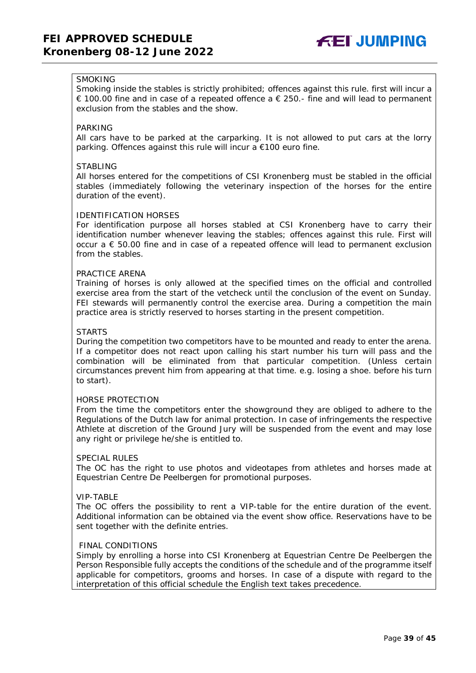

## **SMOKING**

Smoking inside the stables is strictly prohibited; offences against this rule. first will incur a € 100.00 fine and in case of a repeated offence a  $∈$  250.- fine and will lead to permanent exclusion from the stables and the show.

#### PARKING

All cars have to be parked at the carparking. It is not allowed to put cars at the lorry parking. Offences against this rule will incur a €100 euro fine.

#### STABLING

All horses entered for the competitions of CSI Kronenberg must be stabled in the official stables (immediately following the veterinary inspection of the horses for the entire duration of the event).

#### IDENTIFICATION HORSES

For identification purpose all horses stabled at CSI Kronenberg have to carry their identification number whenever leaving the stables; offences against this rule. First will occur  $a \in 50.00$  fine and in case of a repeated offence will lead to permanent exclusion from the stables.

#### PRACTICE ARENA

Training of horses is only allowed at the specified times on the official and controlled exercise area from the start of the vetcheck until the conclusion of the event on Sunday. FEI stewards will permanently control the exercise area. During a competition the main practice area is strictly reserved to horses starting in the present competition.

#### **STARTS**

During the competition two competitors have to be mounted and ready to enter the arena. If a competitor does not react upon calling his start number his turn will pass and the combination will be eliminated from that particular competition. (Unless certain circumstances prevent him from appearing at that time. e.g. losing a shoe. before his turn to start).

#### HORSE PROTECTION

From the time the competitors enter the showground they are obliged to adhere to the Regulations of the Dutch law for animal protection. In case of infringements the respective Athlete at discretion of the Ground Jury will be suspended from the event and may lose any right or privilege he/she is entitled to.

#### SPECIAL RULES

The OC has the right to use photos and videotapes from athletes and horses made at Equestrian Centre De Peelbergen for promotional purposes.

#### VIP-TABLE

The OC offers the possibility to rent a VIP-table for the entire duration of the event. Additional information can be obtained via the event show office. Reservations have to be sent together with the definite entries.

#### FINAL CONDITIONS

Simply by enrolling a horse into CSI Kronenberg at Equestrian Centre De Peelbergen the Person Responsible fully accepts the conditions of the schedule and of the programme itself applicable for competitors, grooms and horses. In case of a dispute with regard to the interpretation of this official schedule the English text takes precedence.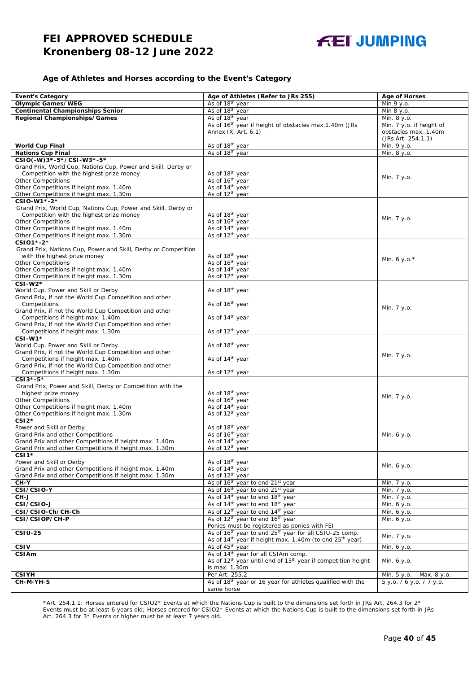#### **Age of Athletes and Horses according to the Event's Category**

| <b>Event's Category</b>                                        | Age of Athletes (Refer to JRs 255)                                                   | <b>Age of Horses</b>      |
|----------------------------------------------------------------|--------------------------------------------------------------------------------------|---------------------------|
| <b>Olympic Games/WEG</b>                                       | As of 18 <sup>th</sup> year                                                          | Min 9 y.o.                |
| <b>Continental Championships Senior</b>                        | As of 18 <sup>th</sup> year                                                          | Min 8 y.o.                |
| Regional Championships/Games                                   | As of 18 <sup>th</sup> year                                                          | Min. 8 y.o.               |
|                                                                | As of 16 <sup>th</sup> year if height of obstacles max.1.40m (JRs                    | Min. 7 y.o. if height of  |
|                                                                | Annex IX, Art. 6.1)                                                                  | obstacles max. 1.40m      |
|                                                                |                                                                                      | (JRs Art. 254.1.1)        |
| <b>World Cup Final</b>                                         | As of 18 <sup>th</sup> year                                                          | Min. 9 y.o.               |
| <b>Nations Cup Final</b>                                       | As of 18th year                                                                      | Min. 8 y.o.               |
| CSIO(-W)3*-5*/CSI-W3*-5*                                       |                                                                                      |                           |
| Grand Prix, World Cup, Nations Cup, Power and Skill, Derby or  |                                                                                      |                           |
| Competition with the highest prize money                       | As of 18 <sup>th</sup> year                                                          |                           |
| <b>Other Competitions</b>                                      | As of 16 <sup>th</sup> year                                                          | Min. 7 y.o.               |
| Other Competitions if height max. 1.40m                        | As of 14 <sup>th</sup> year                                                          |                           |
| Other Competitions if height max. 1.30m                        | As of 12 <sup>th</sup> year                                                          |                           |
| CSIO-W1*-2*                                                    |                                                                                      |                           |
| Grand Prix, World Cup, Nations Cup, Power and Skill, Derby or  |                                                                                      |                           |
| Competition with the highest prize money                       | As of 18 <sup>th</sup> year                                                          | Min. 7 y.o.               |
| <b>Other Competitions</b>                                      | As of 16 <sup>th</sup> year                                                          |                           |
| Other Competitions if height max. 1.40m                        | As of 14 <sup>th</sup> year                                                          |                           |
| Other Competitions if height max. 1.30m                        | As of 12 <sup>th</sup> year                                                          |                           |
| CSI01*-2*                                                      |                                                                                      |                           |
| Grand Prix, Nations Cup, Power and Skill, Derby or Competition |                                                                                      |                           |
| with the highest prize money<br><b>Other Competitions</b>      | As of 18 <sup>th</sup> year<br>As of 16 <sup>th</sup> year                           | Min. 6 y.o. $*$           |
| Other Competitions if height max. 1.40m                        | As of 14 <sup>th</sup> year                                                          |                           |
| Other Competitions if height max. 1.30m                        | As of 12 <sup>th</sup> year                                                          |                           |
| CSI-W2*                                                        |                                                                                      |                           |
| World Cup, Power and Skill or Derby                            | As of 18 <sup>th</sup> year                                                          |                           |
| Grand Prix, if not the World Cup Competition and other         |                                                                                      |                           |
| Competitions                                                   | As of 16 <sup>th</sup> year                                                          |                           |
| Grand Prix, if not the World Cup Competition and other         |                                                                                      | Min. 7 y.o.               |
| Competitions if height max. 1.40m                              | As of 14 <sup>th</sup> year                                                          |                           |
| Grand Prix, if not the World Cup Competition and other         |                                                                                      |                           |
| Competitions if height max. 1.30m                              | As of 12 <sup>th</sup> year                                                          |                           |
| CSI-W1*                                                        |                                                                                      |                           |
| World Cup, Power and Skill or Derby                            | As of 18 <sup>th</sup> year                                                          |                           |
| Grand Prix, if not the World Cup Competition and other         |                                                                                      | Min. 7 y.o.               |
| Competitions if height max. 1.40m                              | As of 14 <sup>th</sup> year                                                          |                           |
| Grand Prix, if not the World Cup Competition and other         |                                                                                      |                           |
| Competitions if height max. 1.30m                              | As of 12 <sup>th</sup> year                                                          |                           |
| CSI3*-5*                                                       |                                                                                      |                           |
| Grand Prix, Power and Skill, Derby or Competition with the     |                                                                                      |                           |
| highest prize money<br><b>Other Competitions</b>               | As of 18th year<br>As of 16 <sup>th</sup> year                                       | Min. 7 y.o.               |
| Other Competitions if height max. 1.40m                        | As of 14 <sup>th</sup> year                                                          |                           |
| Other Competitions if height max. 1.30m                        | As of 12 <sup>th</sup> year                                                          |                           |
| $CSI2*$                                                        |                                                                                      |                           |
| Power and Skill or Derby                                       | As of 18 <sup>th</sup> year                                                          |                           |
| Grand Prix and other Competitions                              | As of 16 <sup>th</sup> year                                                          | Min. 6 y.o.               |
| Grand Prix and other Competitions if height max. 1.40m         | As of 14 <sup>th</sup> year                                                          |                           |
| Grand Prix and other Competitions if height max. 1.30m         | As of 12 <sup>th</sup> vear                                                          |                           |
| CSI <sub>1</sub> *                                             |                                                                                      |                           |
| Power and Skill or Derby                                       | As of 18 <sup>th</sup> year                                                          |                           |
| Grand Prix and other Competitions if height max. 1.40m         | As of 14 <sup>th</sup> year                                                          | Min. 6 y.o.               |
| Grand Prix and other Competitions if height max. 1.30m         | As of 12 <sup>th</sup> year                                                          |                           |
| $CH-Y$                                                         | As of 16 <sup>th</sup> year to end 21 <sup>st</sup> year                             | Min. 7 y.o.               |
| CSI/CSIO-Y                                                     | As of 16 <sup>th</sup> year to end 21 <sup>st</sup> year                             | Min. 7 y.o.               |
| CH-J                                                           | As of 14 <sup>th</sup> year to end 18 <sup>th</sup> year                             | Min. 7 y.o.               |
| CSI/CSIO-J                                                     | As of 14 <sup>th</sup> year to end 18 <sup>th</sup> year                             | Min. 6 y.o.               |
| CSI/CSIO-Ch/CH-Ch                                              | As of 12 <sup>th</sup> year to end 14 <sup>th</sup> year                             | Min. 6 y.o.               |
| CSI/CSIOP/CH-P                                                 | As of 12 <sup>th</sup> year to end 16 <sup>th</sup> year                             | Min. 6 y.o.               |
|                                                                | Ponies must be registered as ponies with FEI                                         |                           |
| <b>CSIU-25</b>                                                 | As of 16 <sup>th</sup> year to end 25 <sup>th</sup> year for all CSIU-25 comp.       | Min. 7 y.o.               |
|                                                                | As of 14 <sup>th</sup> year if height max. 1.40m (to end 25 <sup>th</sup> year)      |                           |
| <b>CSIV</b>                                                    | As of 45 <sup>th</sup> year                                                          | Min. 6 y.o.               |
| CSIAm                                                          | As of 14 <sup>th</sup> year for all CSIAm comp.                                      |                           |
|                                                                | As of 12 <sup>th</sup> year until end of 13 <sup>th</sup> year if competition height | Min. 6 y.o.               |
|                                                                | is max. 1.30m                                                                        |                           |
| <b>CSIYH</b>                                                   | Per Art. 255.2                                                                       | Min. 5 y.o. - Max. 8 y.o. |
| CH-M-YH-S                                                      | As of 18th year or 16 year for athletes qualified with the<br>same horse             | 5 y.o. / 6 y.o. / 7 y.o.  |
|                                                                |                                                                                      |                           |

\*Art. 254.1.1: Horses entered for CSIO2\* Events at which the Nations Cup is built to the dimensions set forth in JRs Art. 264.3 for 2\* Events must be at least 6 years old; Horses entered for CSIO2\* Events at which the Nations Cup is built to the dimensions set forth in JRs Art. 264.3 for 3\* Events or higher must be at least 7 years old.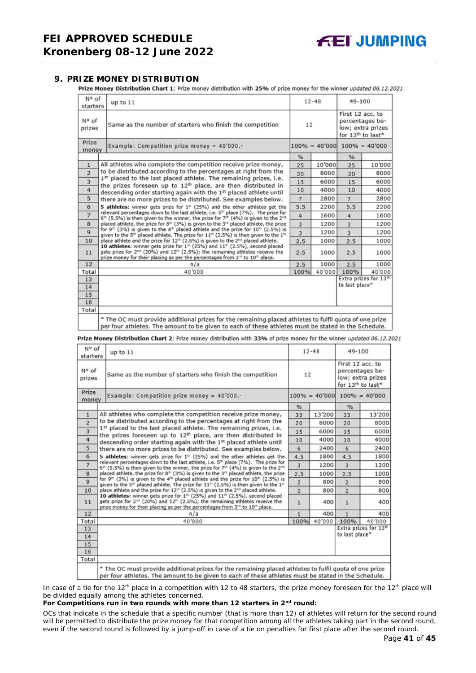#### <span id="page-40-0"></span>**9. PRIZE MONEY DISTRIBUTION**

Prize Money Distribution Chart 1: Prize money distribution with 25% of prize money for the winner updated 06.12.2021

| N° of<br>starters | up to 11                                                                                                                                                                                                                                                                                                                                                                                                                       |                                   | $12 - 48$ |                | 49-100                                                                                    |  |
|-------------------|--------------------------------------------------------------------------------------------------------------------------------------------------------------------------------------------------------------------------------------------------------------------------------------------------------------------------------------------------------------------------------------------------------------------------------|-----------------------------------|-----------|----------------|-------------------------------------------------------------------------------------------|--|
| N° of<br>prizes   | Same as the number of starters who finish the competition                                                                                                                                                                                                                                                                                                                                                                      |                                   | 12        |                | First 12 acc. to<br>percentages be-<br>low; extra prizes<br>for 13 <sup>th</sup> to last* |  |
| Prize<br>money    | Example: Competition prize money = $40'000$ .-                                                                                                                                                                                                                                                                                                                                                                                 | $100\% = 40'000$ $100\% = 40'000$ |           |                |                                                                                           |  |
|                   |                                                                                                                                                                                                                                                                                                                                                                                                                                | %                                 |           | %              |                                                                                           |  |
| $\mathbf{1}$      | All athletes who complete the competition receive prize money,                                                                                                                                                                                                                                                                                                                                                                 | 25                                | 10'000    | 25             | 10'000                                                                                    |  |
| $\overline{2}$    | to be distributed according to the percentages at right from the                                                                                                                                                                                                                                                                                                                                                               | 20                                | 8000      | 20             | 8000                                                                                      |  |
| 3                 | 1st placed to the last placed athlete. The remaining prizes, i.e.<br>the prizes foreseen up to 12 <sup>th</sup> place, are then distributed in                                                                                                                                                                                                                                                                                 | 15                                | 6000      | 15             | 6000                                                                                      |  |
| 4                 | descending order starting again with the 1st placed athlete until<br>5<br>there are no more prizes to be distributed. See examples below.                                                                                                                                                                                                                                                                                      |                                   | 4000      | 10             | 4000                                                                                      |  |
|                   |                                                                                                                                                                                                                                                                                                                                                                                                                                |                                   | 2800      | $\overline{7}$ | 2800                                                                                      |  |
| 6                 | 5 athletes: winner gets prize for 1 <sup>#</sup> (25%) and the other athletes get the                                                                                                                                                                                                                                                                                                                                          |                                   |           | 5.5            | 2200                                                                                      |  |
| $\overline{7}$    | relevant percentages down to the last athlete, i.e. 5 <sup>th</sup> place (7%). The prize for<br>$6th$ (5.5%) is then given to the winner, the prize for 7 <sup>th</sup> (4%) is given to the 2 <sup>nd</sup><br>placed athlete, the prize for 8th (3%) is given to the 3rd placed athlete, the prize<br>8                                                                                                                     |                                   |           | 4              | 1600                                                                                      |  |
|                   |                                                                                                                                                                                                                                                                                                                                                                                                                                |                                   |           | $\overline{3}$ | 1200                                                                                      |  |
| $\mathbf{Q}$      | for 9 <sup>th</sup> (3%) is given to the 4 <sup>th</sup> placed athlete and the prize for 10 <sup>th</sup> (2.5%) is<br>given to the 5 <sup>th</sup> placed athlete. The prize for $11th$ (2.5%) is then given to the $1th$                                                                                                                                                                                                    | 3                                 | 1200      | $\overline{3}$ | 1200                                                                                      |  |
| 10                | place athlete and the prize for 12 <sup>th</sup> (2.5%) is given to the 2 <sup>nd</sup> placed athlete.<br>10 athletes: winner gets prize for 1 <sup>st</sup> (25%) and 11 <sup>th</sup> (2.5%), second placed<br>gets prize for 2 <sup>nd</sup> (20%) and 12 <sup>th</sup> (2.5%); the remaining athletes receive the<br>prize money for their placing as per the percentages from 3 <sup>rd</sup> to 10 <sup>th</sup> place. |                                   | 1000      | 2.5            | 1000                                                                                      |  |
| 11                |                                                                                                                                                                                                                                                                                                                                                                                                                                |                                   | 1000      | 2.5            | 1000                                                                                      |  |
| 12                | n/a                                                                                                                                                                                                                                                                                                                                                                                                                            | 2.5                               | 1000      | 2.5            | 1000                                                                                      |  |
| Total             | 40'000                                                                                                                                                                                                                                                                                                                                                                                                                         | 100%                              | 40'000    | 100%           | 40'000                                                                                    |  |
| 13                |                                                                                                                                                                                                                                                                                                                                                                                                                                |                                   |           |                | Extra prizes for 13th                                                                     |  |
| 14                |                                                                                                                                                                                                                                                                                                                                                                                                                                |                                   |           | to last place* |                                                                                           |  |
| 15                |                                                                                                                                                                                                                                                                                                                                                                                                                                |                                   |           |                |                                                                                           |  |
| 16                |                                                                                                                                                                                                                                                                                                                                                                                                                                |                                   |           |                |                                                                                           |  |
| Total             |                                                                                                                                                                                                                                                                                                                                                                                                                                |                                   |           |                |                                                                                           |  |
|                   | * The OC must provide additional prizes for the remaining placed athletes to fulfil quota of one prize<br>per four athletes. The amount to be given to each of these athletes must be stated in the Schedule.                                                                                                                                                                                                                  |                                   |           |                |                                                                                           |  |

Prize Money Distribution Chart 2: Prize money distribution with 33% of prize money for the winner updated 06.12.2021

| N° of<br>starters | up to $11$                                                                                                                                                                                                                                                          |                | $12 - 48$ |                | 49-100                                                                                    |  |
|-------------------|---------------------------------------------------------------------------------------------------------------------------------------------------------------------------------------------------------------------------------------------------------------------|----------------|-----------|----------------|-------------------------------------------------------------------------------------------|--|
| N° of<br>prizes   | Same as the number of starters who finish the competition                                                                                                                                                                                                           |                | 12        |                | First 12 acc. to<br>percentages be-<br>low; extra prizes<br>for 13 <sup>th</sup> to last* |  |
| Prize<br>money    | Example: Competition prize money = 40'000.-                                                                                                                                                                                                                         |                |           |                | $100\% = 40'000$ $100\% = 40'000$                                                         |  |
|                   |                                                                                                                                                                                                                                                                     | $\frac{9}{6}$  |           | %              |                                                                                           |  |
| $\mathbf{1}$      | All athletes who complete the competition receive prize money,                                                                                                                                                                                                      | 33             | 13'200    | 33             | 13'200                                                                                    |  |
| $\overline{2}$    | to be distributed according to the percentages at right from the                                                                                                                                                                                                    | 20             | 8000      | 20             | 8000                                                                                      |  |
| 3                 | 1st placed to the last placed athlete. The remaining prizes, i.e.<br>the prizes foreseen up to 12 <sup>th</sup> place, are then distributed in                                                                                                                      | 15             | 6000      | 15             | 6000                                                                                      |  |
| 4                 | descending order starting again with the 1st placed athlete until                                                                                                                                                                                                   |                | 4000      | 10             | 4000                                                                                      |  |
| 5                 | there are no more prizes to be distributed. See examples below.                                                                                                                                                                                                     |                |           | 6              | 2400                                                                                      |  |
| 6                 | 5 athletes: winner gets prize for $1st$ (25%) and the other athletes get the                                                                                                                                                                                        | 4.5            | 1800      | 4.5            | 1800                                                                                      |  |
| $\overline{7}$    | relevant percentages down to the last athlete, i.e. 5 <sup>th</sup> place (7%). The prize for<br>6 <sup>th</sup> (5.5%) is then given to the winner, the prize for 7 <sup>th</sup> (4%) is given to the 2 <sup>nd</sup>                                             | 3              | 1200      | $\overline{3}$ | 1200                                                                                      |  |
| 8                 | placed athlete, the prize for 8th (3%) is given to the 3 <sup>rd</sup> placed athlete, the prize                                                                                                                                                                    | 2.5            | 1000      | 2.5            | 1000                                                                                      |  |
| $\mathbf Q$       | for 9th (3%) is given to the 4th placed athlete and the prize for 10th (2.5%) is<br>given to the 5 <sup>th</sup> placed athlete. The prize for 11 <sup>th</sup> (2.5%) is then given to the 1 <sup>st</sup>                                                         | $\overline{2}$ | 800       | $\overline{2}$ | 800                                                                                       |  |
| 10                | place athlete and the prize for 12 <sup>th</sup> (2.5%) is given to the 2 <sup>rd</sup> placed athlete.                                                                                                                                                             | $\overline{2}$ | 800       | $\overline{2}$ | 800                                                                                       |  |
| 11                | 10 athletes: winner gets prize for 1st (25%) and 11th (2.5%), second placed<br>gets prize for 2 <sup>nd</sup> (20%) and 12 <sup>th</sup> (2.5%); the remaining athletes receive the<br>prize money for their placing as per the percentages from 3rd to 10th place. | $\mathbf{1}$   | 400       | $\mathbf{1}$   | 400                                                                                       |  |
| 12                | n/a                                                                                                                                                                                                                                                                 | 1              | 400       | 1              | 400                                                                                       |  |
| Total             | 40'000                                                                                                                                                                                                                                                              | 100%           | 40'000    | 100%           | 40'000                                                                                    |  |
| 13                |                                                                                                                                                                                                                                                                     |                |           |                | Extra prizes for 13th                                                                     |  |
| 14                |                                                                                                                                                                                                                                                                     |                |           | to last place* |                                                                                           |  |
| 15                |                                                                                                                                                                                                                                                                     |                |           |                |                                                                                           |  |
| 16<br>Total       |                                                                                                                                                                                                                                                                     |                |           |                |                                                                                           |  |
|                   |                                                                                                                                                                                                                                                                     |                |           |                |                                                                                           |  |
|                   | * The OC must provide additional prizes for the remaining placed athletes to fulfil quota of one prize<br>per four athletes. The amount to be given to each of these athletes must be stated in the Schedule.                                                       |                |           |                |                                                                                           |  |

In case of a tie for the 12<sup>th</sup> place in a competition with 12 to 48 starters, the prize money foreseen for the 12<sup>th</sup> place will be divided equally among the athletes concerned.

#### **For Competitions run in two rounds with more than 12 starters in 2nd round:**

*OCs that indicate in the schedule that a specific number (that is more than 12) of athletes will return for the second round will be permitted to distribute the prize money for that competition among all the athletes taking part in the second round, even if the second round is followed by a jump-off in case of a tie on penalties for first place after the second round.*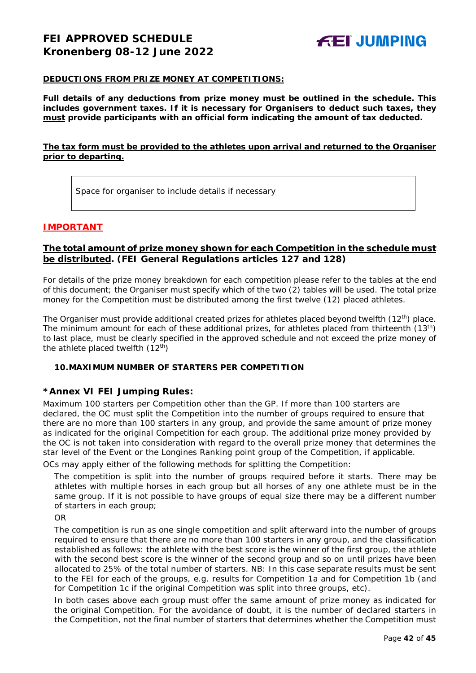#### **DEDUCTIONS FROM PRIZE MONEY AT COMPETITIONS:**

**Full details of any deductions from prize money must be outlined in the schedule. This includes government taxes. If it is necessary for Organisers to deduct such taxes, they must provide participants with an official form indicating the amount of tax deducted.** 

## **The tax form must be provided to the athletes upon arrival and returned to the Organiser prior to departing.**

Space for organiser to include details if necessary

## **IMPORTANT**

## **The total amount of prize money shown for each Competition in the schedule must be distributed. (FEI General Regulations articles 127 and 128)**

For details of the prize money breakdown for each competition please refer to the tables at the end of this document; the Organiser must specify which of the two (2) tables will be used. The total prize money for the Competition must be distributed among the first twelve (12) placed athletes.

The Organiser must provide additional created prizes for athletes placed beyond twelfth (12<sup>th</sup>) place. The minimum amount for each of these additional prizes, for athletes placed from thirteenth (13<sup>th</sup>) to last place, must be clearly specified in the approved schedule and not exceed the prize money of the athlete placed twelfth  $(12<sup>th</sup>)$ 

#### <span id="page-41-0"></span>**10.MAXIMUM NUMBER OF STARTERS PER COMPETITION**

#### **\*Annex VI FEI Jumping Rules:**

Maximum 100 starters per Competition other than the GP. If more than 100 starters are declared, the OC must split the Competition into the number of groups required to ensure that there are no more than 100 starters in any group, and provide the same amount of prize money as indicated for the original Competition for each group. The additional prize money provided by the OC is not taken into consideration with regard to the overall prize money that determines the star level of the Event or the Longines Ranking point group of the Competition, if applicable.

OCs may apply either of the following methods for splitting the Competition:

The competition is split into the number of groups required before it starts. There may be athletes with multiple horses in each group but all horses of any one athlete must be in the same group. If it is not possible to have groups of equal size there may be a different number of starters in each group;

OR

The competition is run as one single competition and split afterward into the number of groups required to ensure that there are no more than 100 starters in any group, and the classification established as follows: the athlete with the best score is the winner of the first group, the athlete with the second best score is the winner of the second group and so on until prizes have been allocated to 25% of the total number of starters. *NB: In this case separate results must be sent to the FEI for each of the groups, e.g. results for Competition 1a and for Competition 1b (and for Competition 1c if the original Competition was split into three groups, etc).*

In both cases above each group must offer the same amount of prize money as indicated for the original Competition. For the avoidance of doubt, it is the number of declared starters in the Competition, not the final number of starters that determines whether the Competition must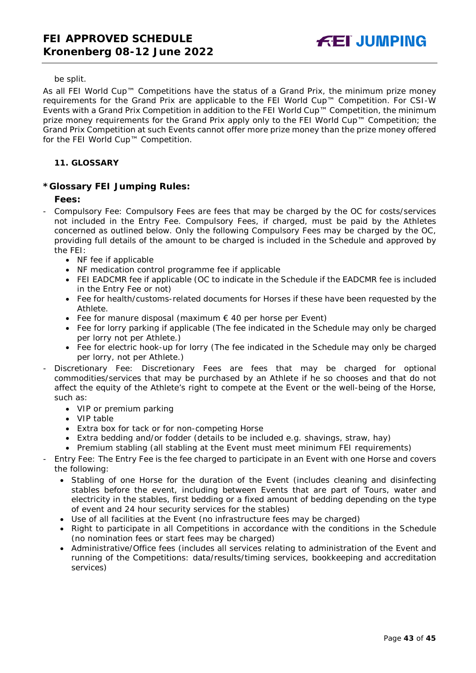#### be split.

As all FEI World Cup™ Competitions have the status of a Grand Prix, the minimum prize money requirements for the Grand Prix are applicable to the FEI World Cup™ Competition. For CSI-W Events with a Grand Prix Competition in addition to the FEI World Cup™ Competition, the minimum prize money requirements for the Grand Prix apply only to the FEI World Cup™ Competition; the Grand Prix Competition at such Events cannot offer more prize money than the prize money offered for the FEI World Cup™ Competition.

## <span id="page-42-0"></span>**11. GLOSSARY**

## **\*Glossary FEI Jumping Rules:**

## **Fees:**

- Compulsory Fee: Compulsory Fees are fees that may be charged by the OC for costs/services not included in the Entry Fee. Compulsory Fees, if charged, must be paid by the Athletes concerned as outlined below. Only the following Compulsory Fees may be charged by the OC, providing full details of the amount to be charged is included in the Schedule and approved by the FEI:
	- NF fee if applicable
	- NF medication control programme fee if applicable
	- FEI EADCMR fee if applicable (OC to indicate in the Schedule if the EADCMR fee is included in the Entry Fee or not)
	- Fee for health/customs-related documents for Horses if these have been requested by the Athlete.
	- Fee for manure disposal (maximum € 40 per horse per Event)
	- Fee for lorry parking if applicable (The fee indicated in the Schedule may only be charged per lorry not per Athlete.)
	- Fee for electric hook-up for lorry (The fee indicated in the Schedule may only be charged per lorry, not per Athlete.)
- Discretionary Fee: Discretionary Fees are fees that may be charged for optional commodities/services that may be purchased by an Athlete if he so chooses and that do not affect the equity of the Athlete's right to compete at the Event or the well-being of the Horse, such as:
	- VIP or premium parking
	- VIP table
	- Extra box for tack or for non-competing Horse
	- Extra bedding and/or fodder (details to be included e.g. shavings, straw, hay)
	- Premium stabling (all stabling at the Event must meet minimum FEI requirements)
- Entry Fee: The Entry Fee is the fee charged to participate in an Event with one Horse and covers the following:
	- Stabling of one Horse for the duration of the Event (includes cleaning and disinfecting stables before the event, including between Events that are part of Tours, water and electricity in the stables, first bedding or a fixed amount of bedding depending on the type of event and 24 hour security services for the stables)
	- Use of all facilities at the Event (no infrastructure fees may be charged)
	- Right to participate in all Competitions in accordance with the conditions in the Schedule (no nomination fees or start fees may be charged)
	- Administrative/Office fees (includes all services relating to administration of the Event and running of the Competitions: data/results/timing services, bookkeeping and accreditation services)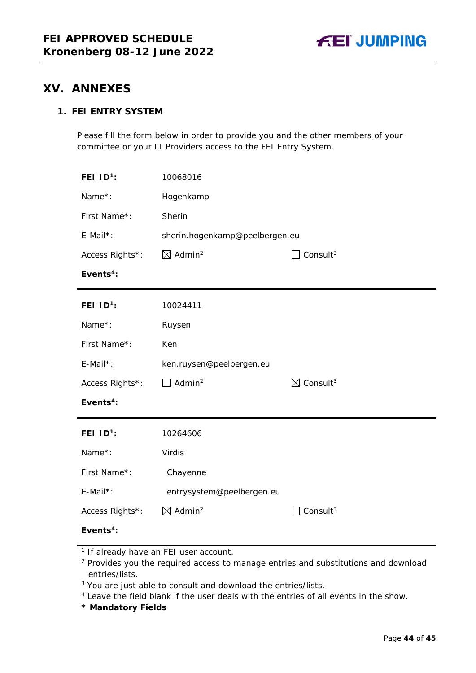

# <span id="page-43-0"></span>**XV. ANNEXES**

# **1. FEI ENTRY SYSTEM**

Please fill the form below in order to provide you and the other members of your committee or your IT Providers access to the FEI Entry System.

| FEI $ID1$ :           | 10068016                                      |                                  |  |
|-----------------------|-----------------------------------------------|----------------------------------|--|
| Name*:                | Hogenkamp                                     |                                  |  |
| First Name*:          | Sherin                                        |                                  |  |
| E-Mail*:              | sherin.hogenkamp@peelbergen.eu                |                                  |  |
| Access Rights*:       | $\boxtimes$ Admin <sup>2</sup><br>Consult $3$ |                                  |  |
| Events <sup>4</sup> : |                                               |                                  |  |
| FEI $1D^1$ :          | 10024411                                      |                                  |  |
| Name*:                | Ruysen                                        |                                  |  |
| First Name*:          | Ken                                           |                                  |  |
| E-Mail*:              | ken.ruysen@peelbergen.eu                      |                                  |  |
| Access Rights*:       | Admin <sup>2</sup>                            | $\boxtimes$ Consult <sup>3</sup> |  |
| Events <sup>4</sup> : |                                               |                                  |  |
| FEI $ID1$ :           | 10264606                                      |                                  |  |
| Name*:                | Virdis                                        |                                  |  |
| First Name*:          | Chayenne                                      |                                  |  |
| E-Mail*:              | entrysystem@peelbergen.eu                     |                                  |  |
| Access Rights*:       | $\boxtimes$ Admin <sup>2</sup>                | Consult $3$                      |  |
| Events <sup>4</sup> : |                                               |                                  |  |

**\* Mandatory Fields**

<sup>&</sup>lt;sup>1</sup> If already have an FEI user account.

<sup>&</sup>lt;sup>2</sup> Provides you the required access to manage entries and substitutions and download entries/lists.

<sup>&</sup>lt;sup>3</sup> You are just able to consult and download the entries/lists.

<sup>4</sup> Leave the field blank if the user deals with the entries of all events in the show.